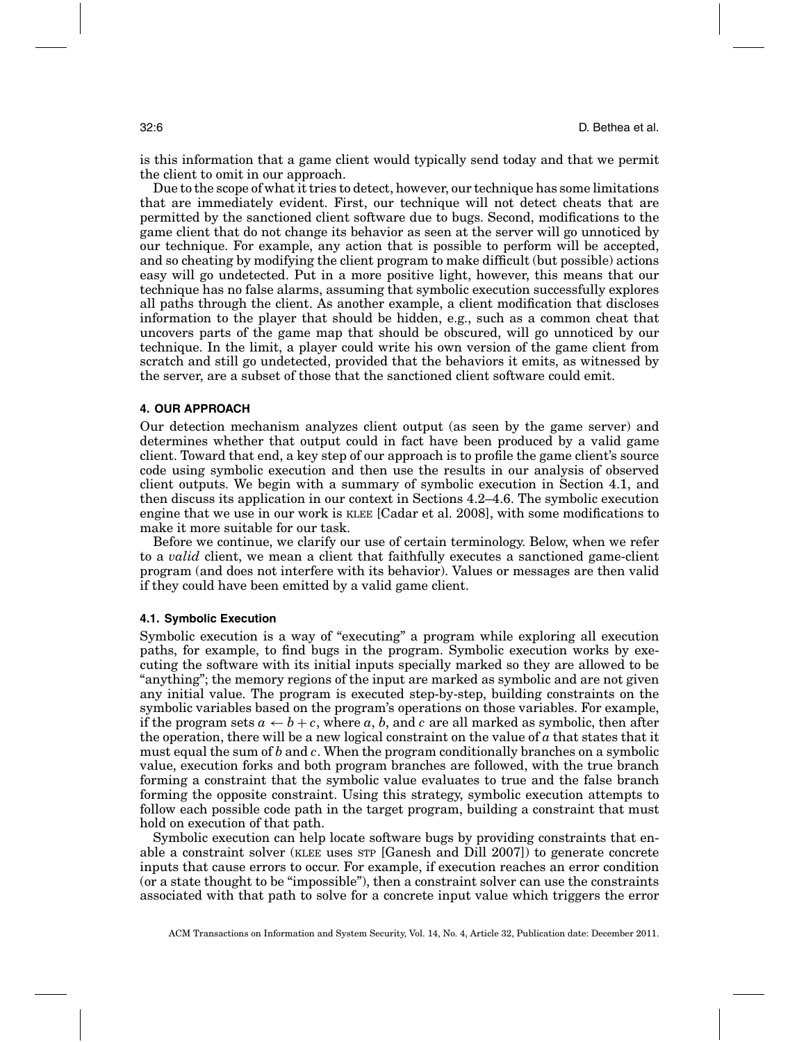is this information that a game client would typically send today and that we permit the client to omit in our approach.

Due to the scope of what it tries to detect, however, our technique has some limitations that are immediately evident. First, our technique will not detect cheats that are permitted by the sanctioned client software due to bugs. Second, modifications to the game client that do not change its behavior as seen at the server will go unnoticed by our technique. For example, any action that is possible to perform will be accepted, and so cheating by modifying the client program to make difficult (but possible) actions easy will go undetected. Put in a more positive light, however, this means that our technique has no false alarms, assuming that symbolic execution successfully explores all paths through the client. As another example, a client modification that discloses information to the player that should be hidden, e.g., such as a common cheat that uncovers parts of the game map that should be obscured, will go unnoticed by our technique. In the limit, a player could write his own version of the game client from scratch and still go undetected, provided that the behaviors it emits, as witnessed by the server, are a subset of those that the sanctioned client software could emit.

## **4. OUR APPROACH**

Our detection mechanism analyzes client output (as seen by the game server) and determines whether that output could in fact have been produced by a valid game client. Toward that end, a key step of our approach is to profile the game client's source code using symbolic execution and then use the results in our analysis of observed client outputs. We begin with a summary of symbolic execution in Section 4.1, and then discuss its application in our context in Sections 4.2–4.6. The symbolic execution engine that we use in our work is KLEE [Cadar et al. 2008], with some modifications to make it more suitable for our task.

Before we continue, we clarify our use of certain terminology. Below, when we refer to a *valid* client, we mean a client that faithfully executes a sanctioned game-client program (and does not interfere with its behavior). Values or messages are then valid if they could have been emitted by a valid game client.

### **4.1. Symbolic Execution**

Symbolic execution is a way of "executing" a program while exploring all execution paths, for example, to find bugs in the program. Symbolic execution works by executing the software with its initial inputs specially marked so they are allowed to be "anything"; the memory regions of the input are marked as symbolic and are not given any initial value. The program is executed step-by-step, building constraints on the symbolic variables based on the program's operations on those variables. For example, if the program sets  $a \leftarrow b + c$ , where a, b, and c are all marked as symbolic, then after the operation, there will be a new logical constraint on the value of *a* that states that it must equal the sum of *b* and *c*. When the program conditionally branches on a symbolic value, execution forks and both program branches are followed, with the true branch forming a constraint that the symbolic value evaluates to true and the false branch forming the opposite constraint. Using this strategy, symbolic execution attempts to follow each possible code path in the target program, building a constraint that must hold on execution of that path.

Symbolic execution can help locate software bugs by providing constraints that enable a constraint solver (KLEE uses STP [Ganesh and Dill 2007]) to generate concrete inputs that cause errors to occur. For example, if execution reaches an error condition (or a state thought to be "impossible"), then a constraint solver can use the constraints associated with that path to solve for a concrete input value which triggers the error

ACM Transactions on Information and System Security, Vol. 14, No. 4, Article 32, Publication date: December 2011.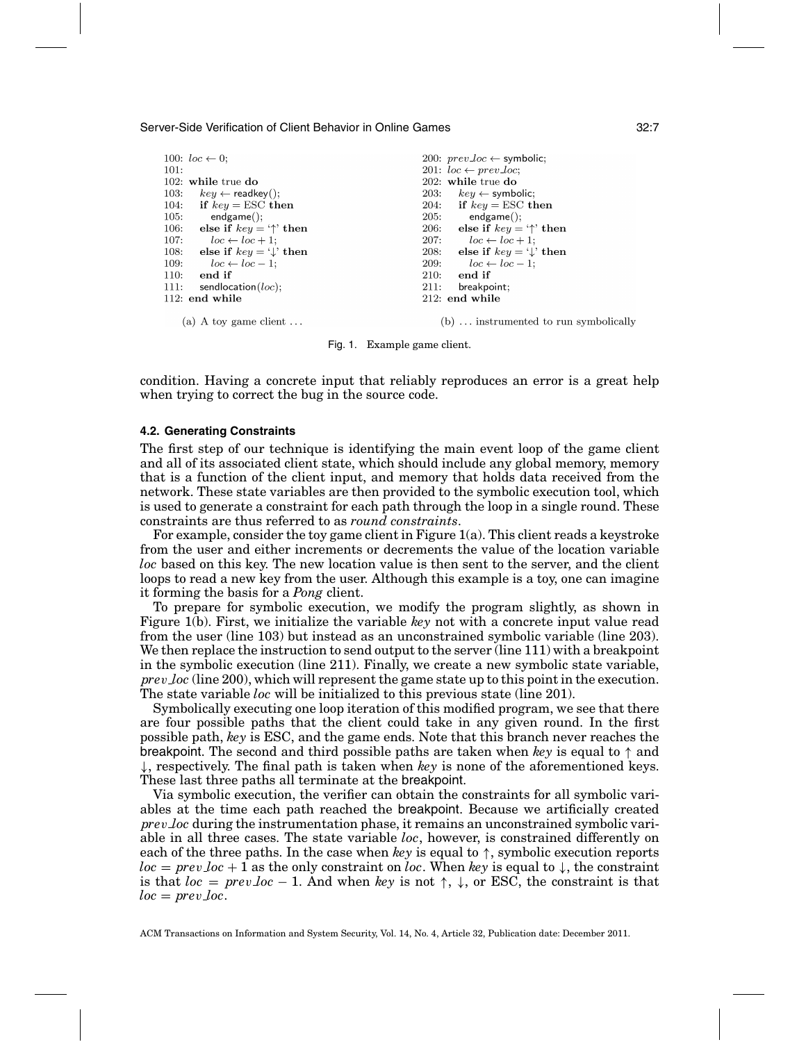|                               | 100: $loc \leftarrow 0$ ;                |                | 200: $prev\_loc \leftarrow$ symbolic;         |
|-------------------------------|------------------------------------------|----------------|-----------------------------------------------|
| 101:                          |                                          |                | 201: $loc \leftarrow prev\_loc$ ;             |
|                               | $102$ : while true do                    |                | $202:$ while true do                          |
|                               | 103: $key \leftarrow \text{readkey}()$ : | 203:           | $key \leftarrow$ symbolic;                    |
|                               | 104: if $key = ESC$ then                 |                | 204: if $key = ESC$ then                      |
|                               | $105:$ endgame();                        |                | $205:$ endgame();                             |
|                               | 106: else if $key = \Uparrow$ then       | 206:           | else if $key = \Uparrow$ then                 |
|                               | 107: $loc \leftarrow loc + 1$ ;          |                | 207: $loc \leftarrow loc + 1$ ;               |
|                               | 108: else if $key = \mathcal{V}$ then    | 208:           | else if $key = \mathcal{V}$ then              |
|                               | 109: $loc \leftarrow loc - 1$ ;          |                | 209: $loc \leftarrow loc - 1$ ;               |
|                               | $110:$ end if                            | 210:           | end if                                        |
|                               | 111: sendlocation $(loc);$               | 211:           | breakpoint;                                   |
| $112:$ end while              |                                          | 212: end while |                                               |
| (a) A toy game client $\dots$ |                                          |                | $(b) \ldots$ instrumented to run symbolically |

Fig. 1. Example game client.

condition. Having a concrete input that reliably reproduces an error is a great help when trying to correct the bug in the source code.

# **4.2. Generating Constraints**

The first step of our technique is identifying the main event loop of the game client and all of its associated client state, which should include any global memory, memory that is a function of the client input, and memory that holds data received from the network. These state variables are then provided to the symbolic execution tool, which is used to generate a constraint for each path through the loop in a single round. These constraints are thus referred to as *round constraints*.

For example, consider the toy game client in Figure 1(a). This client reads a keystroke from the user and either increments or decrements the value of the location variable *loc* based on this key. The new location value is then sent to the server, and the client loops to read a new key from the user. Although this example is a toy, one can imagine it forming the basis for a *Pong* client.

To prepare for symbolic execution, we modify the program slightly, as shown in Figure 1(b). First, we initialize the variable *key* not with a concrete input value read from the user (line 103) but instead as an unconstrained symbolic variable (line 203). We then replace the instruction to send output to the server (line 111) with a breakpoint in the symbolic execution (line 211). Finally, we create a new symbolic state variable, *pre*v *loc* (line 200), which will represent the game state up to this point in the execution. The state variable *loc* will be initialized to this previous state (line 201).

Symbolically executing one loop iteration of this modified program, we see that there are four possible paths that the client could take in any given round. In the first possible path, *key* is ESC, and the game ends. Note that this branch never reaches the breakpoint. The second and third possible paths are taken when *key* is equal to ↑ and ↓, respectively. The final path is taken when *key* is none of the aforementioned keys. These last three paths all terminate at the breakpoint.

Via symbolic execution, the verifier can obtain the constraints for all symbolic variables at the time each path reached the breakpoint. Because we artificially created *pre*v *loc* during the instrumentation phase, it remains an unconstrained symbolic variable in all three cases. The state variable *loc*, however, is constrained differently on each of the three paths. In the case when  $key$  is equal to  $\uparrow$ , symbolic execution reports  $loc = prevLoc + 1$  as the only constraint on *loc*. When *key* is equal to  $\downarrow$ , the constraint is that  $loc = prevLoc - 1$ . And when key is not  $\uparrow, \downarrow$ , or ESC, the constraint is that  $loc = prevLoc.$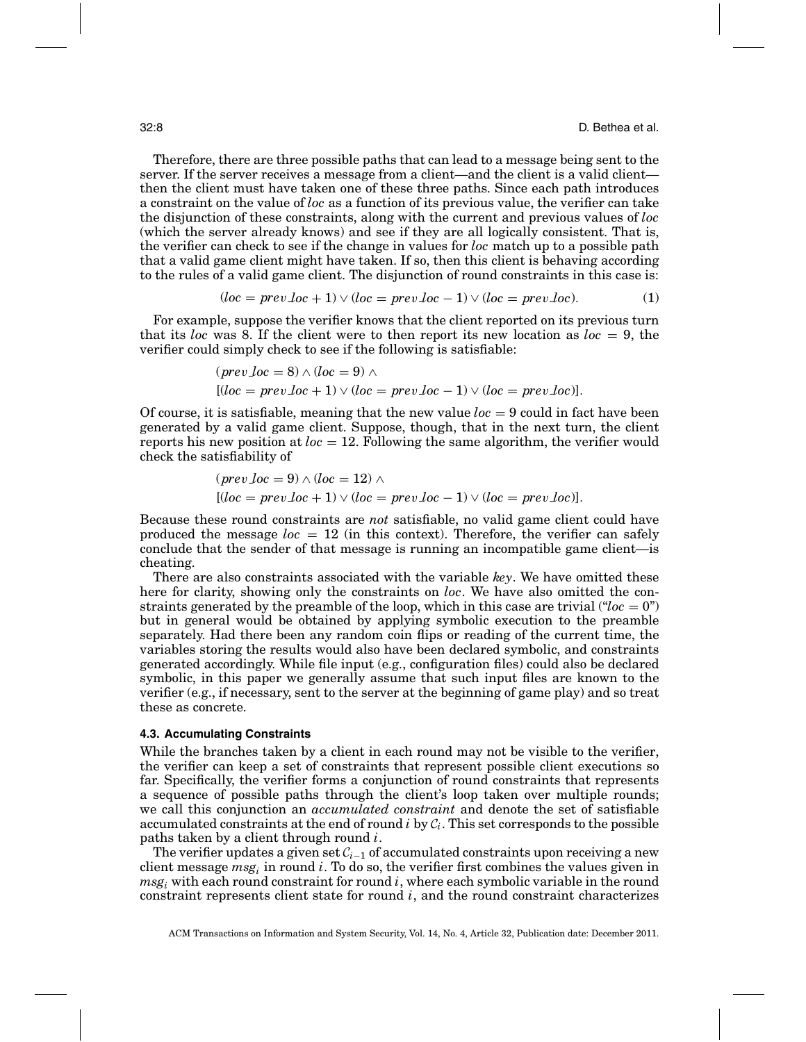Therefore, there are three possible paths that can lead to a message being sent to the server. If the server receives a message from a client—and the client is a valid client then the client must have taken one of these three paths. Since each path introduces a constraint on the value of *loc* as a function of its previous value, the verifier can take the disjunction of these constraints, along with the current and previous values of *loc* (which the server already knows) and see if they are all logically consistent. That is, the verifier can check to see if the change in values for *loc* match up to a possible path that a valid game client might have taken. If so, then this client is behaving according to the rules of a valid game client. The disjunction of round constraints in this case is:

$$
(loc = prev\,loc + 1) \vee (loc = prev\,loc - 1) \vee (loc = prev\,loc).
$$
 (1)

For example, suppose the verifier knows that the client reported on its previous turn that its *loc* was 8. If the client were to then report its new location as  $loc = 9$ , the verifier could simply check to see if the following is satisfiable:

$$
(prev\,loc = 8) \land (loc = 9) \land [(loc = prev\,loc + 1) \lor (loc = prev\,loc - 1) \lor (loc = prev\,loc)].
$$

Of course, it is satisfiable, meaning that the new value  $loc = 9$  could in fact have been generated by a valid game client. Suppose, though, that in the next turn, the client reports his new position at  $loc = 12$ . Following the same algorithm, the verifier would check the satisfiability of

$$
(prev\,loc = 9) \land (loc = 12) \land [(loc = prev\,loc + 1) \lor (loc = prev\,loc - 1) \lor (loc = prev\,loc)].
$$

Because these round constraints are *not* satisfiable, no valid game client could have produced the message  $loc = 12$  (in this context). Therefore, the verifier can safely conclude that the sender of that message is running an incompatible game client—is cheating.

There are also constraints associated with the variable *key*. We have omitted these here for clarity, showing only the constraints on *loc*. We have also omitted the constraints generated by the preamble of the loop, which in this case are trivial (" $loc = 0$ ") but in general would be obtained by applying symbolic execution to the preamble separately. Had there been any random coin flips or reading of the current time, the variables storing the results would also have been declared symbolic, and constraints generated accordingly. While file input (e.g., configuration files) could also be declared symbolic, in this paper we generally assume that such input files are known to the verifier (e.g., if necessary, sent to the server at the beginning of game play) and so treat these as concrete.

## **4.3. Accumulating Constraints**

While the branches taken by a client in each round may not be visible to the verifier, the verifier can keep a set of constraints that represent possible client executions so far. Specifically, the verifier forms a conjunction of round constraints that represents a sequence of possible paths through the client's loop taken over multiple rounds; we call this conjunction an *accumulated constraint* and denote the set of satisfiable accumulated constraints at the end of round  $i$  by  $C_i$ . This set corresponds to the possible paths taken by a client through round *i*.

The verifier updates a given set C*i*−<sup>1</sup> of accumulated constraints upon receiving a new client message  $msg_i$  in round *i*. To do so, the verifier first combines the values given in *msgi* with each round constraint for round *i*, where each symbolic variable in the round constraint represents client state for round *i*, and the round constraint characterizes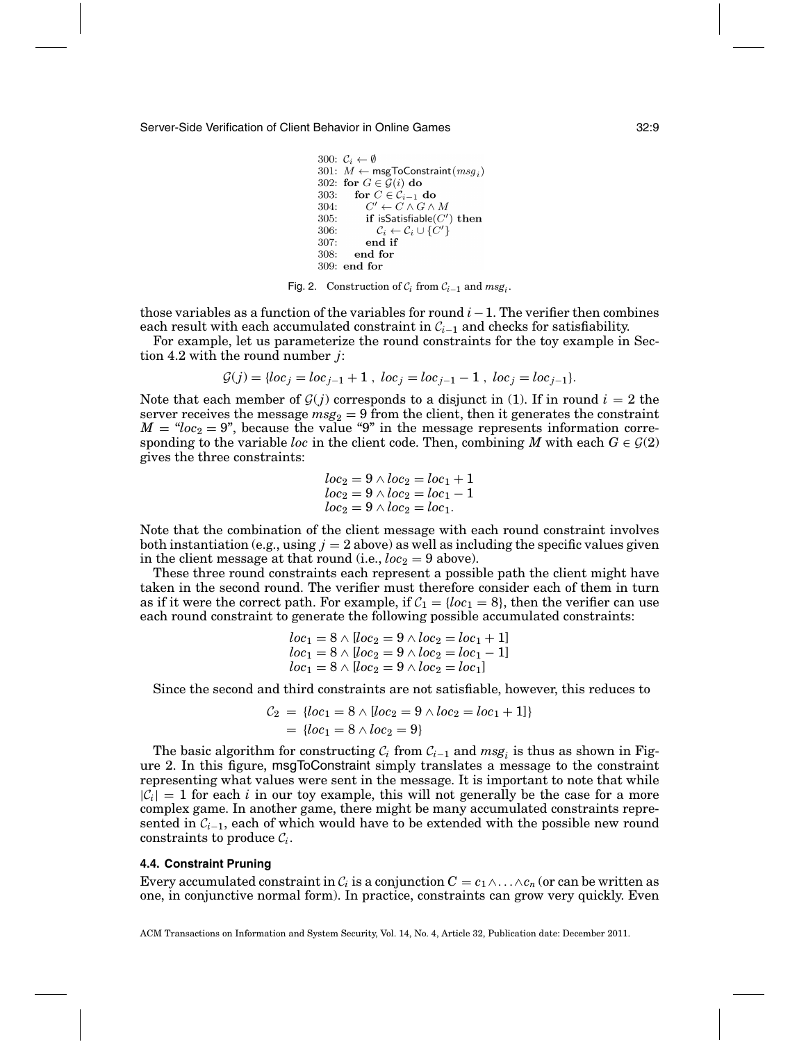300:  $\mathcal{C}_i \leftarrow \emptyset$ 301:  $M \leftarrow$  msgToConstraint $(msg_i)$ 302: for  $G \in \mathcal{G}(i)$  do for  $C \in \mathcal{C}_{i-1}$  do<br>  $C' \leftarrow C \wedge G \wedge M$  $303:$ 304: 305: if isSatisfiable $(C')$  then 306:  $\mathcal{C}_i \leftarrow \mathcal{C}_i \cup {\{\dot{C}'\}}$ end if 307: 308: end for 309: end for

Fig. 2. Construction of  $C_i$  from  $C_{i-1}$  and  $msg_i$ .

those variables as a function of the variables for round *i*−1. The verifier then combines each result with each accumulated constraint in C*i*−<sup>1</sup> and checks for satisfiability.

For example, let us parameterize the round constraints for the toy example in Section 4.2 with the round number *j*:

$$
\mathcal{G}(j) = \{loc_j = loc_{j-1} + 1, loc_j = loc_{j-1} - 1, loc_j = loc_{j-1}\}.
$$

Note that each member of  $\mathcal{G}(j)$  corresponds to a disjunct in (1). If in round  $i = 2$  the server receives the message  $msg_2 = 9$  from the client, then it generates the constraint  $M = "loc<sub>2</sub> = 9",$  because the value "9" in the message represents information corresponding to the variable *loc* in the client code. Then, combining *M* with each  $G \in \mathcal{G}(2)$ gives the three constraints:

$$
loc_2 = 9 \wedge loc_2 = loc_1 + 1
$$
  

$$
loc_2 = 9 \wedge loc_2 = loc_1 - 1
$$
  

$$
loc_2 = 9 \wedge loc_2 = loc_1.
$$

Note that the combination of the client message with each round constraint involves both instantiation (e.g., using  $j = 2$  above) as well as including the specific values given in the client message at that round (i.e.,  $loc_2 = 9$  above).

These three round constraints each represent a possible path the client might have taken in the second round. The verifier must therefore consider each of them in turn as if it were the correct path. For example, if  $C_1 = \{loc_1 = 8\}$ , then the verifier can use each round constraint to generate the following possible accumulated constraints:

$$
loc_1 = 8 \land [loc_2 = 9 \land loc_2 = loc_1 + 1] loc_1 = 8 \land [loc_2 = 9 \land loc_2 = loc_1 - 1] loc_1 = 8 \land [loc_2 = 9 \land loc_2 = loc_1]
$$

Since the second and third constraints are not satisfiable, however, this reduces to

$$
C_2 = \{loc_1 = 8 \land [loc_2 = 9 \land loc_2 = loc_1 + 1]\}
$$
  
= \{loc\_1 = 8 \land loc\_2 = 9\}

The basic algorithm for constructing  $C_i$  from  $C_{i-1}$  and  $msg_i$  is thus as shown in Figure 2. In this figure, msgToConstraint simply translates a message to the constraint representing what values were sent in the message. It is important to note that while  $|\mathcal{C}_i| = 1$  for each *i* in our toy example, this will not generally be the case for a more complex game. In another game, there might be many accumulated constraints represented in C*i*<sup>−</sup>1, each of which would have to be extended with the possible new round constraints to produce  $C_i$ .

### **4.4. Constraint Pruning**

Every accumulated constraint in  $C_i$  is a conjunction  $C = c_1 \wedge \ldots \wedge c_n$  (or can be written as one, in conjunctive normal form). In practice, constraints can grow very quickly. Even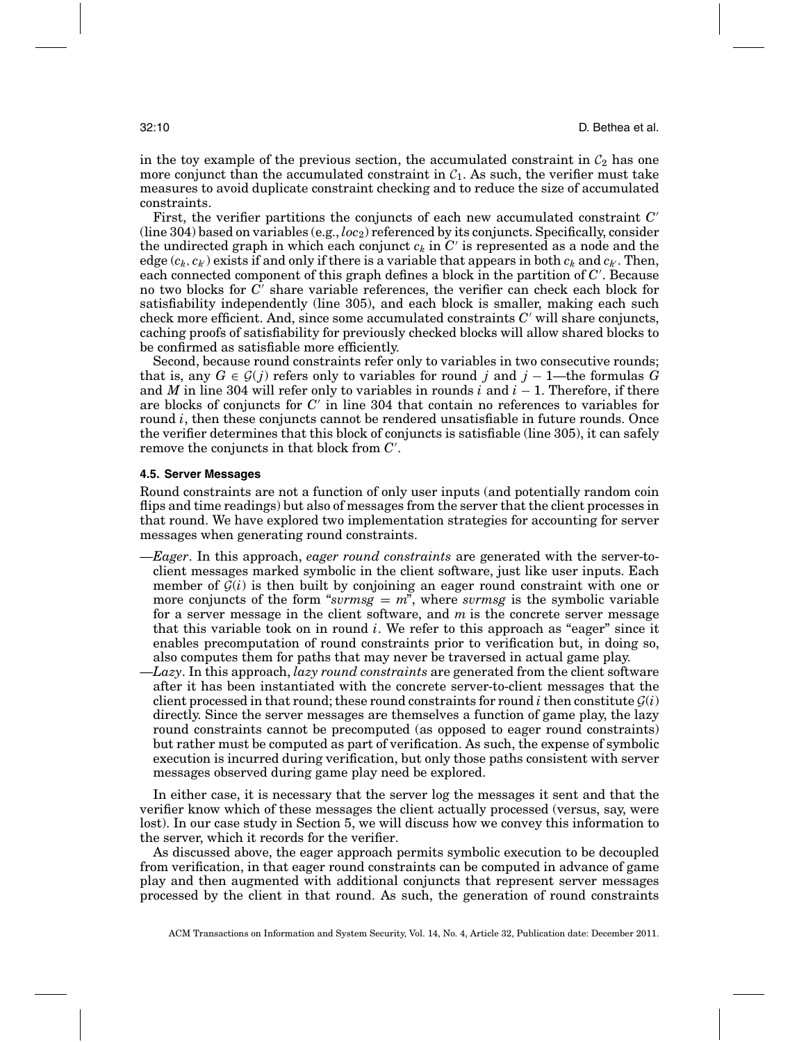in the toy example of the previous section, the accumulated constraint in  $\mathcal{C}_2$  has one more conjunct than the accumulated constraint in  $C_1$ . As such, the verifier must take measures to avoid duplicate constraint checking and to reduce the size of accumulated constraints.

First, the verifier partitions the conjuncts of each new accumulated constraint *C* (line 304) based on variables (e.g., *loc*2) referenced by its conjuncts. Specifically, consider the undirected graph in which each conjunct  $c_k$  in  $C'$  is represented as a node and the edge  $(c_k, c_{k'})$  exists if and only if there is a variable that appears in both  $c_k$  and  $c_{k'}$ . Then, each connected component of this graph defines a block in the partition of *C* . Because no two blocks for  $C'$  share variable references, the verifier can check each block for satisfiability independently (line 305), and each block is smaller, making each such check more efficient. And, since some accumulated constraints *C'* will share conjuncts, caching proofs of satisfiability for previously checked blocks will allow shared blocks to be confirmed as satisfiable more efficiently.

Second, because round constraints refer only to variables in two consecutive rounds; that is, any  $G ∈ \mathcal{G}(j)$  refers only to variables for round *j* and *j* − 1—the formulas *G* and *M* in line 304 will refer only to variables in rounds *i* and *i* − 1. Therefore, if there are blocks of conjuncts for *C* in line 304 that contain no references to variables for round *i*, then these conjuncts cannot be rendered unsatisfiable in future rounds. Once the verifier determines that this block of conjuncts is satisfiable (line 305), it can safely remove the conjuncts in that block from *C* .

### **4.5. Server Messages**

Round constraints are not a function of only user inputs (and potentially random coin flips and time readings) but also of messages from the server that the client processes in that round. We have explored two implementation strategies for accounting for server messages when generating round constraints.

- —*Eager*. In this approach, *eager round constraints* are generated with the server-toclient messages marked symbolic in the client software, just like user inputs. Each member of  $G(i)$  is then built by conjoining an eager round constraint with one or more conjuncts of the form " $svrmsg = m$ ", where *svrmsg* is the symbolic variable for a server message in the client software, and *m* is the concrete server message that this variable took on in round  $i$ . We refer to this approach as "eager" since it enables precomputation of round constraints prior to verification but, in doing so, also computes them for paths that may never be traversed in actual game play.
- —*Lazy*. In this approach, *lazy round constraints* are generated from the client software after it has been instantiated with the concrete server-to-client messages that the client processed in that round; these round constraints for round  $i$  then constitute  $\mathcal{G}(i)$ directly. Since the server messages are themselves a function of game play, the lazy round constraints cannot be precomputed (as opposed to eager round constraints) but rather must be computed as part of verification. As such, the expense of symbolic execution is incurred during verification, but only those paths consistent with server messages observed during game play need be explored.

In either case, it is necessary that the server log the messages it sent and that the verifier know which of these messages the client actually processed (versus, say, were lost). In our case study in Section 5, we will discuss how we convey this information to the server, which it records for the verifier.

As discussed above, the eager approach permits symbolic execution to be decoupled from verification, in that eager round constraints can be computed in advance of game play and then augmented with additional conjuncts that represent server messages processed by the client in that round. As such, the generation of round constraints

ACM Transactions on Information and System Security, Vol. 14, No. 4, Article 32, Publication date: December 2011.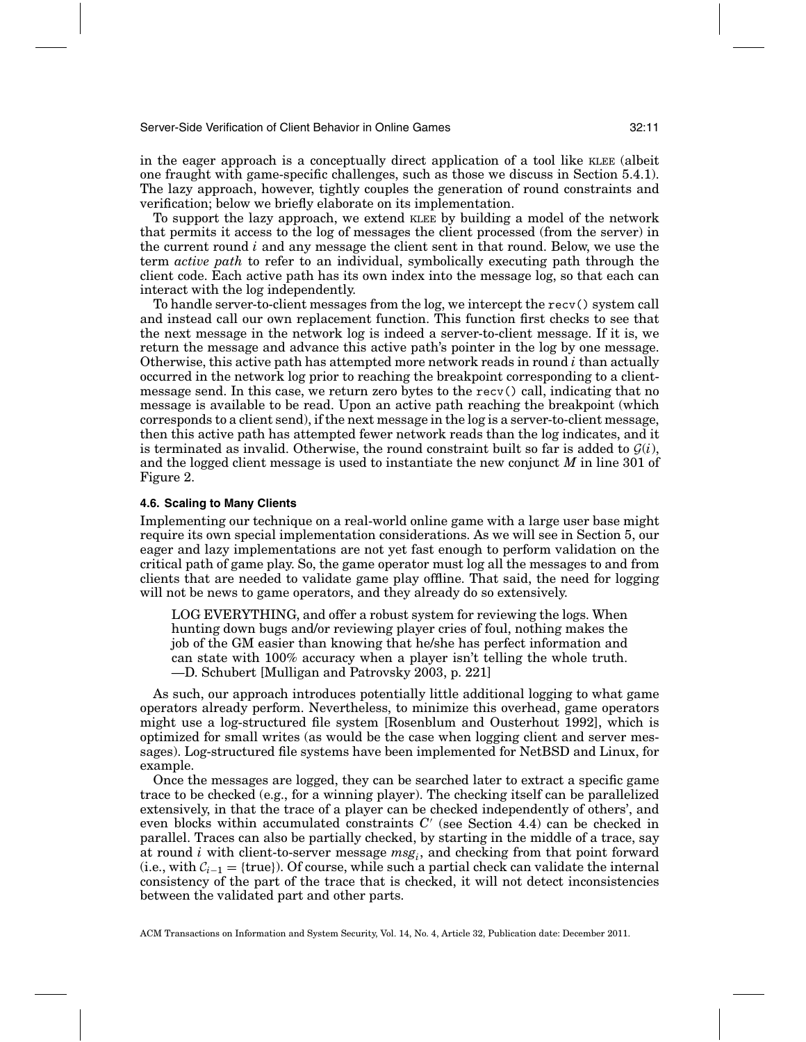in the eager approach is a conceptually direct application of a tool like KLEE (albeit one fraught with game-specific challenges, such as those we discuss in Section 5.4.1). The lazy approach, however, tightly couples the generation of round constraints and verification; below we briefly elaborate on its implementation.

To support the lazy approach, we extend KLEE by building a model of the network that permits it access to the log of messages the client processed (from the server) in the current round *i* and any message the client sent in that round. Below, we use the term *active path* to refer to an individual, symbolically executing path through the client code. Each active path has its own index into the message log, so that each can interact with the log independently.

To handle server-to-client messages from the log, we intercept the recv() system call and instead call our own replacement function. This function first checks to see that the next message in the network log is indeed a server-to-client message. If it is, we return the message and advance this active path's pointer in the log by one message. Otherwise, this active path has attempted more network reads in round *i* than actually occurred in the network log prior to reaching the breakpoint corresponding to a clientmessage send. In this case, we return zero bytes to the recv() call, indicating that no message is available to be read. Upon an active path reaching the breakpoint (which corresponds to a client send), if the next message in the log is a server-to-client message, then this active path has attempted fewer network reads than the log indicates, and it is terminated as invalid. Otherwise, the round constraint built so far is added to  $G(i)$ , and the logged client message is used to instantiate the new conjunct *M* in line 301 of Figure 2.

## **4.6. Scaling to Many Clients**

Implementing our technique on a real-world online game with a large user base might require its own special implementation considerations. As we will see in Section 5, our eager and lazy implementations are not yet fast enough to perform validation on the critical path of game play. So, the game operator must log all the messages to and from clients that are needed to validate game play offline. That said, the need for logging will not be news to game operators, and they already do so extensively.

LOG EVERYTHING, and offer a robust system for reviewing the logs. When hunting down bugs and/or reviewing player cries of foul, nothing makes the job of the GM easier than knowing that he/she has perfect information and can state with 100% accuracy when a player isn't telling the whole truth. —D. Schubert [Mulligan and Patrovsky 2003, p. 221]

As such, our approach introduces potentially little additional logging to what game operators already perform. Nevertheless, to minimize this overhead, game operators might use a log-structured file system [Rosenblum and Ousterhout 1992], which is optimized for small writes (as would be the case when logging client and server messages). Log-structured file systems have been implemented for NetBSD and Linux, for example.

Once the messages are logged, they can be searched later to extract a specific game trace to be checked (e.g., for a winning player). The checking itself can be parallelized extensively, in that the trace of a player can be checked independently of others', and even blocks within accumulated constraints  $C'$  (see Section 4.4) can be checked in parallel. Traces can also be partially checked, by starting in the middle of a trace, say at round *i* with client-to-server message *msgi*, and checking from that point forward (i.e., with C*i*−<sup>1</sup> = {true}). Of course, while such a partial check can validate the internal consistency of the part of the trace that is checked, it will not detect inconsistencies between the validated part and other parts.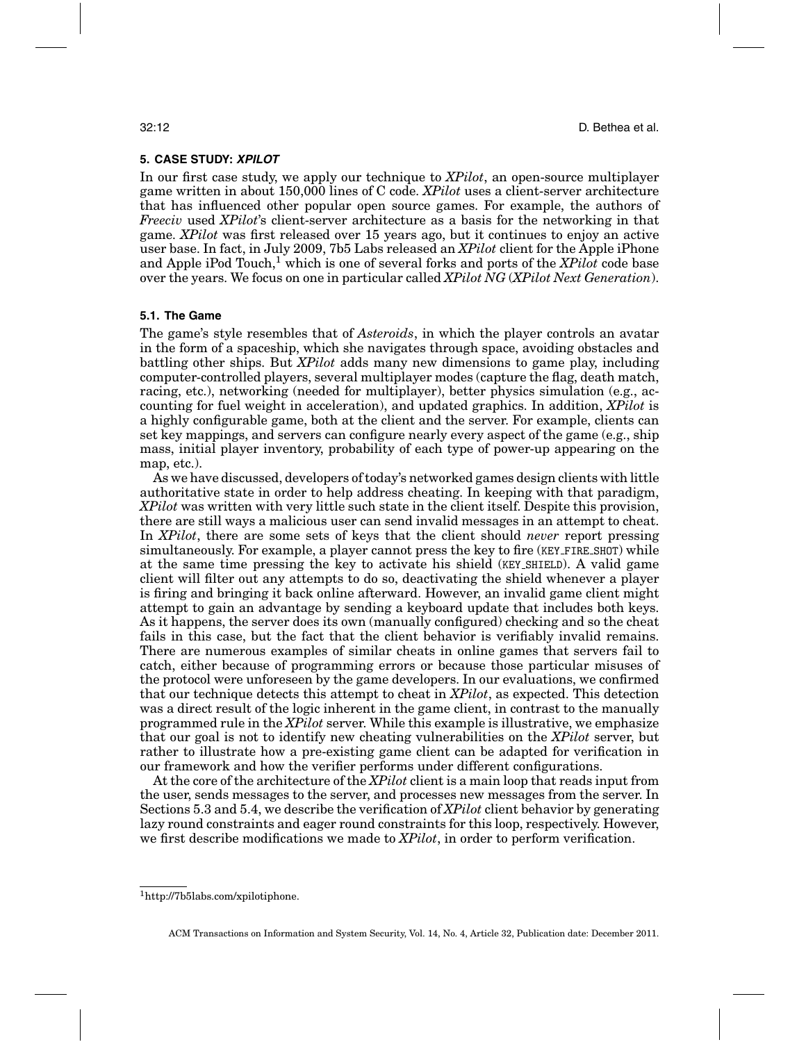# **5. CASE STUDY: XPILOT**

In our first case study, we apply our technique to *XPilot*, an open-source multiplayer game written in about 150,000 lines of C code. *XPilot* uses a client-server architecture that has influenced other popular open source games. For example, the authors of *Freeciv* used *XPilot*'s client-server architecture as a basis for the networking in that game. *XPilot* was first released over 15 years ago, but it continues to enjoy an active user base. In fact, in July 2009, 7b5 Labs released an *XPilot* client for the Apple iPhone and Apple iPod Touch, $\frac{1}{2}$  which is one of several forks and ports of the *XPilot* code base over the years. We focus on one in particular called *XPilot NG* (*XPilot Next Generation*).

## **5.1. The Game**

The game's style resembles that of *Asteroids*, in which the player controls an avatar in the form of a spaceship, which she navigates through space, avoiding obstacles and battling other ships. But *XPilot* adds many new dimensions to game play, including computer-controlled players, several multiplayer modes (capture the flag, death match, racing, etc.), networking (needed for multiplayer), better physics simulation (e.g., accounting for fuel weight in acceleration), and updated graphics. In addition, *XPilot* is a highly configurable game, both at the client and the server. For example, clients can set key mappings, and servers can configure nearly every aspect of the game (e.g., ship mass, initial player inventory, probability of each type of power-up appearing on the map, etc.).

As we have discussed, developers of today's networked games design clients with little authoritative state in order to help address cheating. In keeping with that paradigm, *XPilot* was written with very little such state in the client itself. Despite this provision, there are still ways a malicious user can send invalid messages in an attempt to cheat. In *XPilot*, there are some sets of keys that the client should *never* report pressing simultaneously. For example, a player cannot press the key to fire (KEY\_FIRE\_SHOT) while at the same time pressing the key to activate his shield (KEY SHIELD). A valid game client will filter out any attempts to do so, deactivating the shield whenever a player is firing and bringing it back online afterward. However, an invalid game client might attempt to gain an advantage by sending a keyboard update that includes both keys. As it happens, the server does its own (manually configured) checking and so the cheat fails in this case, but the fact that the client behavior is verifiably invalid remains. There are numerous examples of similar cheats in online games that servers fail to catch, either because of programming errors or because those particular misuses of the protocol were unforeseen by the game developers. In our evaluations, we confirmed that our technique detects this attempt to cheat in *XPilot*, as expected. This detection was a direct result of the logic inherent in the game client, in contrast to the manually programmed rule in the *XPilot* server. While this example is illustrative, we emphasize that our goal is not to identify new cheating vulnerabilities on the *XPilot* server, but rather to illustrate how a pre-existing game client can be adapted for verification in our framework and how the verifier performs under different configurations.

At the core of the architecture of the *XPilot* client is a main loop that reads input from the user, sends messages to the server, and processes new messages from the server. In Sections 5.3 and 5.4, we describe the verification of *XPilot* client behavior by generating lazy round constraints and eager round constraints for this loop, respectively. However, we first describe modifications we made to *XPilot*, in order to perform verification.

<sup>1</sup>http://7b5labs.com/xpilotiphone.

ACM Transactions on Information and System Security, Vol. 14, No. 4, Article 32, Publication date: December 2011.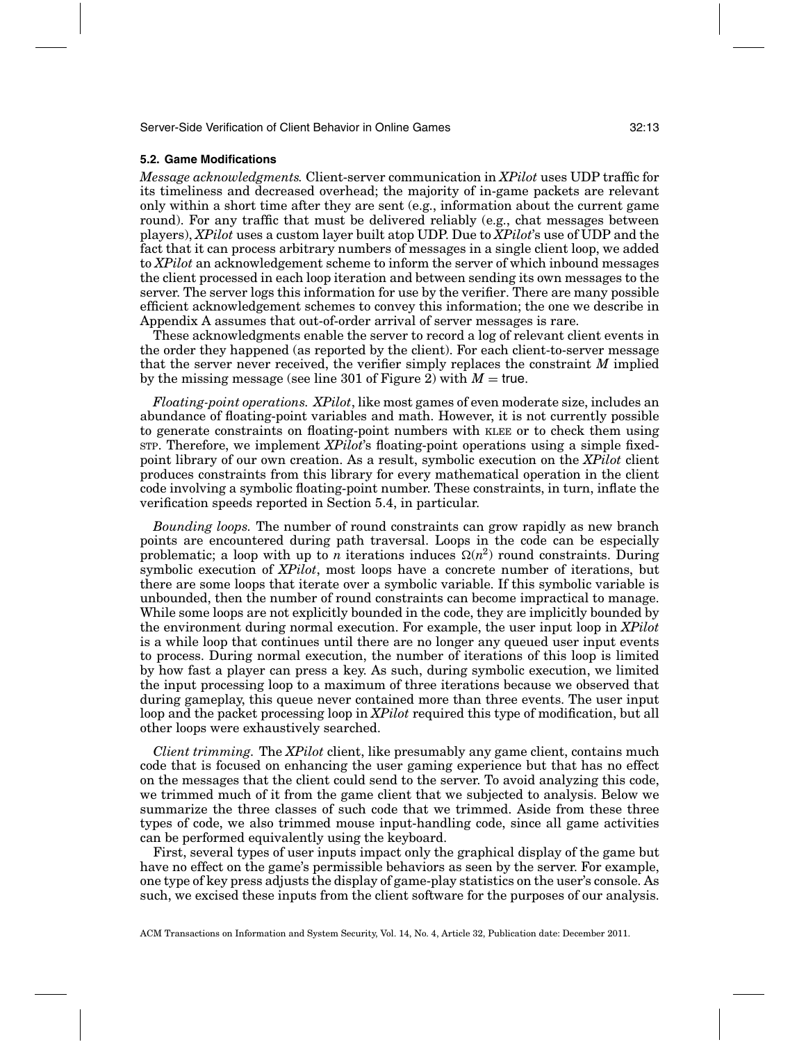## **5.2. Game Modifications**

*Message acknowledgments.* Client-server communication in *XPilot* uses UDP traffic for its timeliness and decreased overhead; the majority of in-game packets are relevant only within a short time after they are sent (e.g., information about the current game round). For any traffic that must be delivered reliably (e.g., chat messages between players), *XPilot* uses a custom layer built atop UDP. Due to *XPilot*'s use of UDP and the fact that it can process arbitrary numbers of messages in a single client loop, we added to *XPilot* an acknowledgement scheme to inform the server of which inbound messages the client processed in each loop iteration and between sending its own messages to the server. The server logs this information for use by the verifier. There are many possible efficient acknowledgement schemes to convey this information; the one we describe in Appendix A assumes that out-of-order arrival of server messages is rare.

These acknowledgments enable the server to record a log of relevant client events in the order they happened (as reported by the client). For each client-to-server message that the server never received, the verifier simply replaces the constraint *M* implied by the missing message (see line 301 of Figure 2) with  $M = \text{true}$ .

*Floating-point operations. XPilot*, like most games of even moderate size, includes an abundance of floating-point variables and math. However, it is not currently possible to generate constraints on floating-point numbers with KLEE or to check them using STP. Therefore, we implement *XPilot*'s floating-point operations using a simple fixedpoint library of our own creation. As a result, symbolic execution on the *XPilot* client produces constraints from this library for every mathematical operation in the client code involving a symbolic floating-point number. These constraints, in turn, inflate the verification speeds reported in Section 5.4, in particular.

*Bounding loops.* The number of round constraints can grow rapidly as new branch points are encountered during path traversal. Loops in the code can be especially problematic; a loop with up to *n* iterations induces  $\Omega(n^2)$  round constraints. During symbolic execution of *XPilot*, most loops have a concrete number of iterations, but there are some loops that iterate over a symbolic variable. If this symbolic variable is unbounded, then the number of round constraints can become impractical to manage. While some loops are not explicitly bounded in the code, they are implicitly bounded by the environment during normal execution. For example, the user input loop in *XPilot* is a while loop that continues until there are no longer any queued user input events to process. During normal execution, the number of iterations of this loop is limited by how fast a player can press a key. As such, during symbolic execution, we limited the input processing loop to a maximum of three iterations because we observed that during gameplay, this queue never contained more than three events. The user input loop and the packet processing loop in *XPilot* required this type of modification, but all other loops were exhaustively searched.

*Client trimming.* The *XPilot* client, like presumably any game client, contains much code that is focused on enhancing the user gaming experience but that has no effect on the messages that the client could send to the server. To avoid analyzing this code, we trimmed much of it from the game client that we subjected to analysis. Below we summarize the three classes of such code that we trimmed. Aside from these three types of code, we also trimmed mouse input-handling code, since all game activities can be performed equivalently using the keyboard.

First, several types of user inputs impact only the graphical display of the game but have no effect on the game's permissible behaviors as seen by the server. For example, one type of key press adjusts the display of game-play statistics on the user's console. As such, we excised these inputs from the client software for the purposes of our analysis.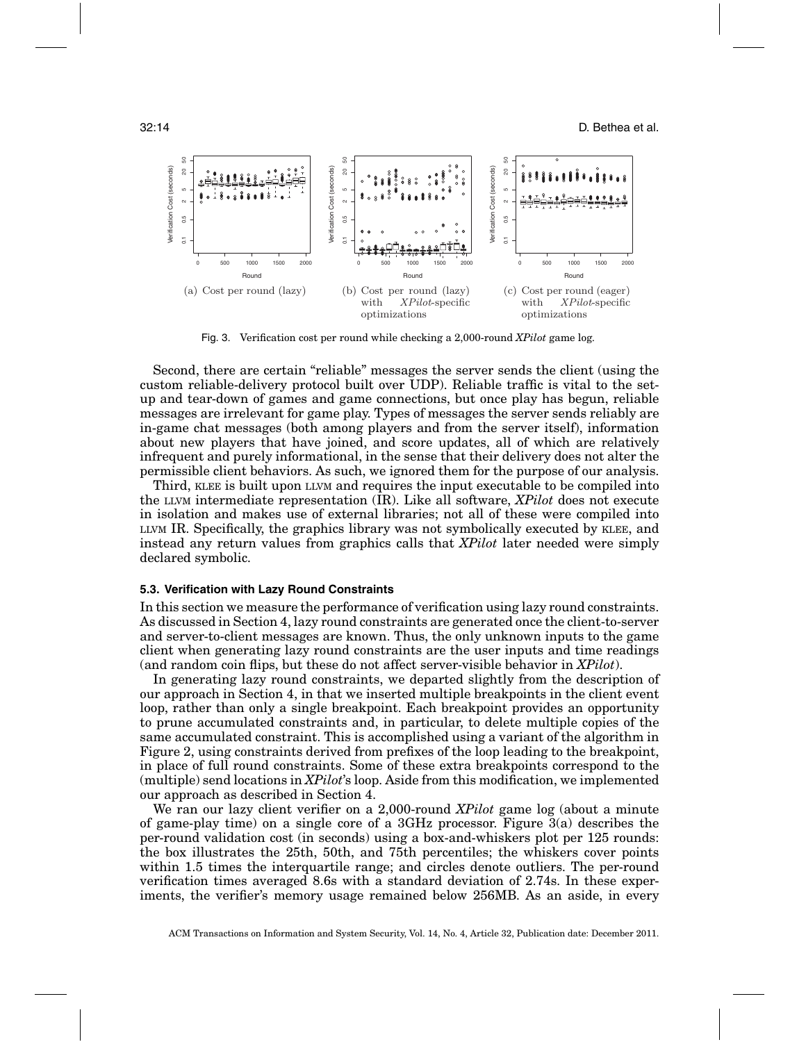32:14 D. Bethea et al.



Fig. 3. Verification cost per round while checking a 2,000-round *XPilot* game log.

Second, there are certain "reliable" messages the server sends the client (using the custom reliable-delivery protocol built over UDP). Reliable traffic is vital to the setup and tear-down of games and game connections, but once play has begun, reliable messages are irrelevant for game play. Types of messages the server sends reliably are in-game chat messages (both among players and from the server itself), information about new players that have joined, and score updates, all of which are relatively infrequent and purely informational, in the sense that their delivery does not alter the permissible client behaviors. As such, we ignored them for the purpose of our analysis.

Third, KLEE is built upon LLVM and requires the input executable to be compiled into the LLVM intermediate representation (IR). Like all software, *XPilot* does not execute in isolation and makes use of external libraries; not all of these were compiled into LLVM IR. Specifically, the graphics library was not symbolically executed by KLEE, and instead any return values from graphics calls that *XPilot* later needed were simply declared symbolic.

## **5.3. Verification with Lazy Round Constraints**

In this section we measure the performance of verification using lazy round constraints. As discussed in Section 4, lazy round constraints are generated once the client-to-server and server-to-client messages are known. Thus, the only unknown inputs to the game client when generating lazy round constraints are the user inputs and time readings (and random coin flips, but these do not affect server-visible behavior in *XPilot*).

In generating lazy round constraints, we departed slightly from the description of our approach in Section 4, in that we inserted multiple breakpoints in the client event loop, rather than only a single breakpoint. Each breakpoint provides an opportunity to prune accumulated constraints and, in particular, to delete multiple copies of the same accumulated constraint. This is accomplished using a variant of the algorithm in Figure 2, using constraints derived from prefixes of the loop leading to the breakpoint, in place of full round constraints. Some of these extra breakpoints correspond to the (multiple) send locations in *XPilot*'s loop. Aside from this modification, we implemented our approach as described in Section 4.

We ran our lazy client verifier on a 2,000-round *XPilot* game log (about a minute of game-play time) on a single core of a 3GHz processor. Figure 3(a) describes the per-round validation cost (in seconds) using a box-and-whiskers plot per 125 rounds: the box illustrates the 25th, 50th, and 75th percentiles; the whiskers cover points within 1.5 times the interquartile range; and circles denote outliers. The per-round verification times averaged 8.6s with a standard deviation of 2.74s. In these experiments, the verifier's memory usage remained below 256MB. As an aside, in every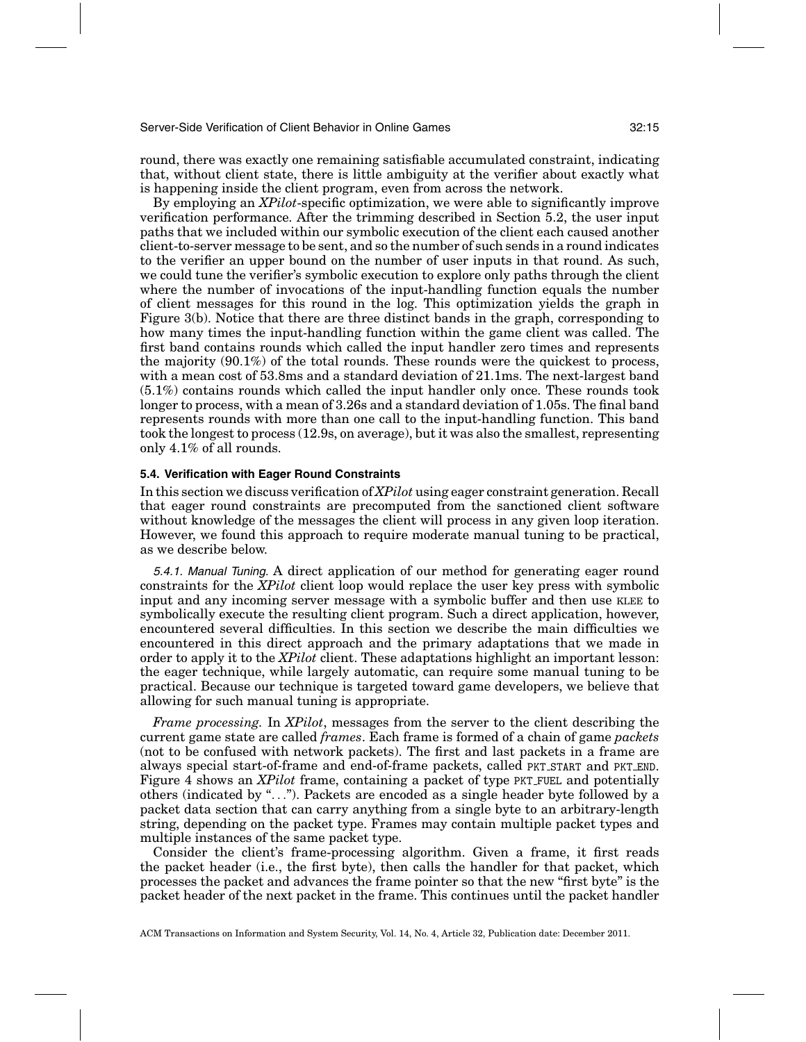round, there was exactly one remaining satisfiable accumulated constraint, indicating that, without client state, there is little ambiguity at the verifier about exactly what is happening inside the client program, even from across the network.

By employing an *XPilot*-specific optimization, we were able to significantly improve verification performance. After the trimming described in Section 5.2, the user input paths that we included within our symbolic execution of the client each caused another client-to-server message to be sent, and so the number of such sends in a round indicates to the verifier an upper bound on the number of user inputs in that round. As such, we could tune the verifier's symbolic execution to explore only paths through the client where the number of invocations of the input-handling function equals the number of client messages for this round in the log. This optimization yields the graph in Figure 3(b). Notice that there are three distinct bands in the graph, corresponding to how many times the input-handling function within the game client was called. The first band contains rounds which called the input handler zero times and represents the majority (90.1%) of the total rounds. These rounds were the quickest to process, with a mean cost of 53.8ms and a standard deviation of 21.1ms. The next-largest band (5.1%) contains rounds which called the input handler only once. These rounds took longer to process, with a mean of 3.26s and a standard deviation of 1.05s. The final band represents rounds with more than one call to the input-handling function. This band took the longest to process (12.9s, on average), but it was also the smallest, representing only 4.1% of all rounds.

## **5.4. Verification with Eager Round Constraints**

In this section we discuss verification of *XPilot* using eager constraint generation. Recall that eager round constraints are precomputed from the sanctioned client software without knowledge of the messages the client will process in any given loop iteration. However, we found this approach to require moderate manual tuning to be practical, as we describe below.

5.4.1. Manual Tuning. A direct application of our method for generating eager round constraints for the *XPilot* client loop would replace the user key press with symbolic input and any incoming server message with a symbolic buffer and then use KLEE to symbolically execute the resulting client program. Such a direct application, however, encountered several difficulties. In this section we describe the main difficulties we encountered in this direct approach and the primary adaptations that we made in order to apply it to the *XPilot* client. These adaptations highlight an important lesson: the eager technique, while largely automatic, can require some manual tuning to be practical. Because our technique is targeted toward game developers, we believe that allowing for such manual tuning is appropriate.

*Frame processing.* In *XPilot*, messages from the server to the client describing the current game state are called *frames*. Each frame is formed of a chain of game *packets* (not to be confused with network packets). The first and last packets in a frame are always special start-of-frame and end-of-frame packets, called PKT START and PKT END. Figure 4 shows an *XPilot* frame, containing a packet of type PKT FUEL and potentially others (indicated by "..."). Packets are encoded as a single header byte followed by a packet data section that can carry anything from a single byte to an arbitrary-length string, depending on the packet type. Frames may contain multiple packet types and multiple instances of the same packet type.

Consider the client's frame-processing algorithm. Given a frame, it first reads the packet header (i.e., the first byte), then calls the handler for that packet, which processes the packet and advances the frame pointer so that the new "first byte" is the packet header of the next packet in the frame. This continues until the packet handler

ACM Transactions on Information and System Security, Vol. 14, No. 4, Article 32, Publication date: December 2011.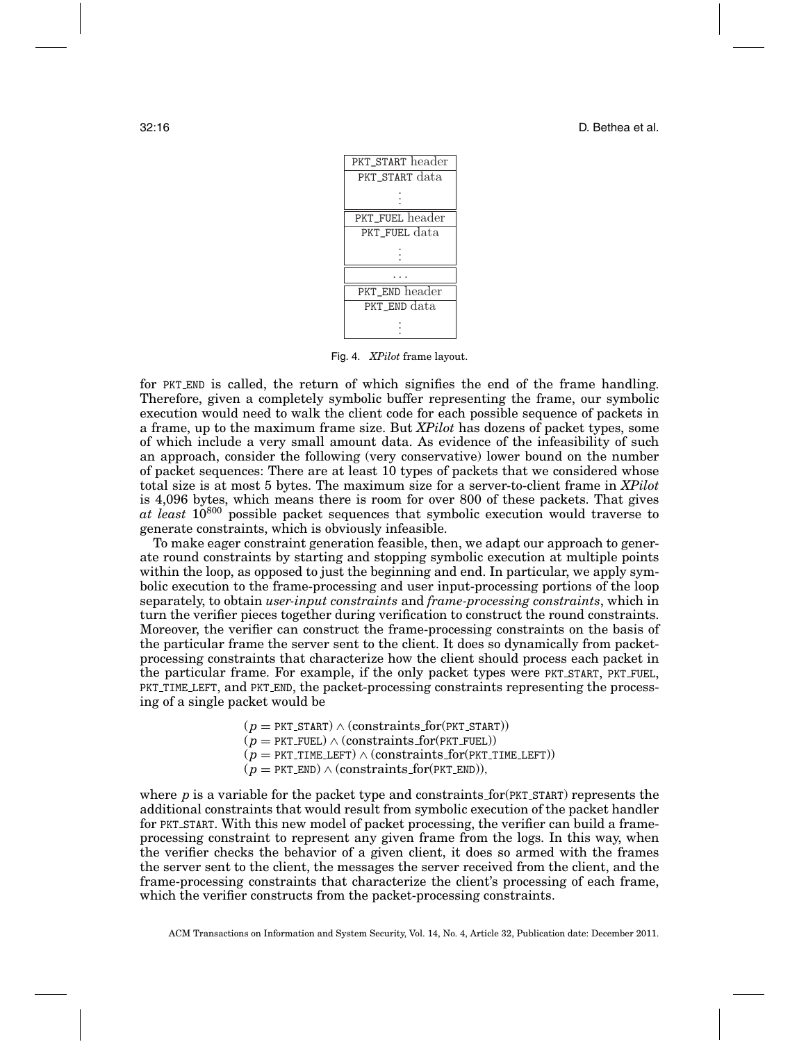32:16 D. Bethea et al.



Fig. 4. *XPilot* frame layout.

for PKT END is called, the return of which signifies the end of the frame handling. Therefore, given a completely symbolic buffer representing the frame, our symbolic execution would need to walk the client code for each possible sequence of packets in a frame, up to the maximum frame size. But *XPilot* has dozens of packet types, some of which include a very small amount data. As evidence of the infeasibility of such an approach, consider the following (very conservative) lower bound on the number of packet sequences: There are at least 10 types of packets that we considered whose total size is at most 5 bytes. The maximum size for a server-to-client frame in *XPilot* is 4,096 bytes, which means there is room for over 800 of these packets. That gives *at least* 10800 possible packet sequences that symbolic execution would traverse to generate constraints, which is obviously infeasible.

To make eager constraint generation feasible, then, we adapt our approach to generate round constraints by starting and stopping symbolic execution at multiple points within the loop, as opposed to just the beginning and end. In particular, we apply symbolic execution to the frame-processing and user input-processing portions of the loop separately, to obtain *user-input constraints* and *frame-processing constraints*, which in turn the verifier pieces together during verification to construct the round constraints. Moreover, the verifier can construct the frame-processing constraints on the basis of the particular frame the server sent to the client. It does so dynamically from packetprocessing constraints that characterize how the client should process each packet in the particular frame. For example, if the only packet types were PKT START, PKT FUEL, PKT\_TIME\_LEFT, and PKT\_END, the packet-processing constraints representing the processing of a single packet would be

> $(p = PKT_START) \wedge (constraints_for(PKT_START))$  $(p = PKT_FUEL) \wedge (constraints_for(PKT_FUEL))$  $(p = PKT\_TIME\_LEFT) \wedge (constraints\_for(PKT\_TIME\_LEFT))$  $(p = PKT\_END) \wedge (constraints\_for(PKT\_END)),$

where  $p$  is a variable for the packet type and constraints for  $(PKT\_START)$  represents the additional constraints that would result from symbolic execution of the packet handler for PKT START. With this new model of packet processing, the verifier can build a frameprocessing constraint to represent any given frame from the logs. In this way, when the verifier checks the behavior of a given client, it does so armed with the frames the server sent to the client, the messages the server received from the client, and the frame-processing constraints that characterize the client's processing of each frame, which the verifier constructs from the packet-processing constraints.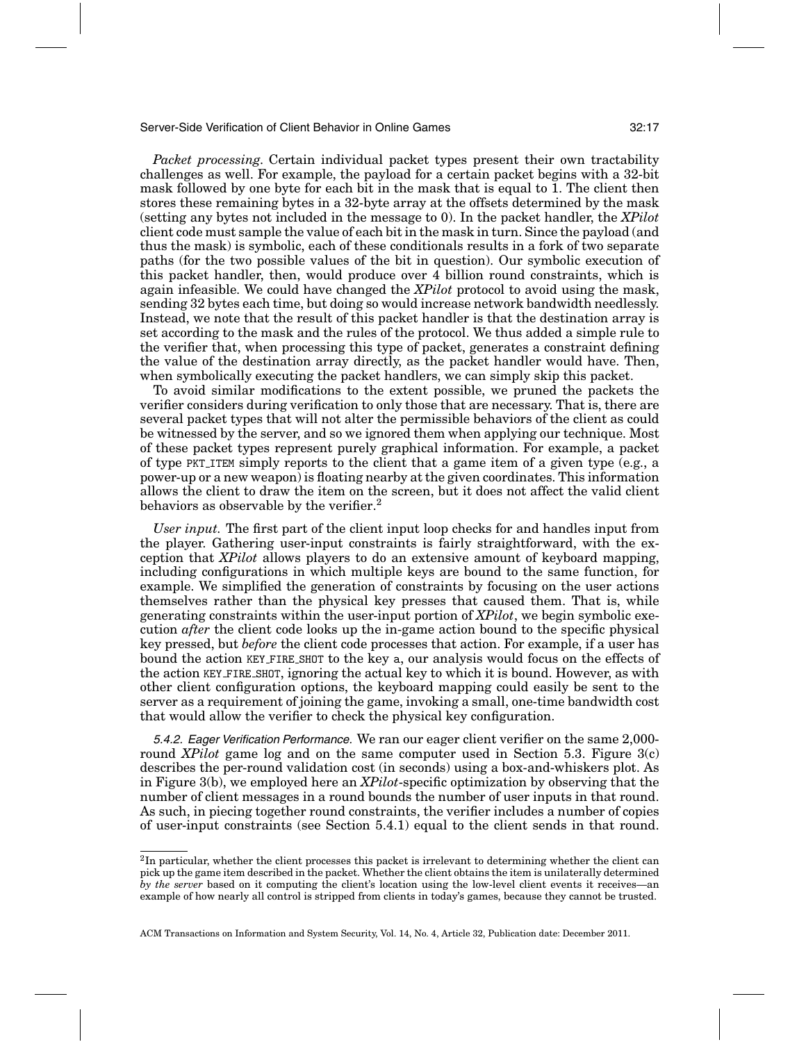*Packet processing.* Certain individual packet types present their own tractability challenges as well. For example, the payload for a certain packet begins with a 32-bit mask followed by one byte for each bit in the mask that is equal to 1. The client then stores these remaining bytes in a 32-byte array at the offsets determined by the mask (setting any bytes not included in the message to 0). In the packet handler, the *XPilot* client code must sample the value of each bit in the mask in turn. Since the payload (and thus the mask) is symbolic, each of these conditionals results in a fork of two separate paths (for the two possible values of the bit in question). Our symbolic execution of this packet handler, then, would produce over 4 billion round constraints, which is again infeasible. We could have changed the *XPilot* protocol to avoid using the mask, sending 32 bytes each time, but doing so would increase network bandwidth needlessly. Instead, we note that the result of this packet handler is that the destination array is set according to the mask and the rules of the protocol. We thus added a simple rule to the verifier that, when processing this type of packet, generates a constraint defining the value of the destination array directly, as the packet handler would have. Then, when symbolically executing the packet handlers, we can simply skip this packet.

To avoid similar modifications to the extent possible, we pruned the packets the verifier considers during verification to only those that are necessary. That is, there are several packet types that will not alter the permissible behaviors of the client as could be witnessed by the server, and so we ignored them when applying our technique. Most of these packet types represent purely graphical information. For example, a packet of type PKT ITEM simply reports to the client that a game item of a given type (e.g., a power-up or a new weapon) is floating nearby at the given coordinates. This information allows the client to draw the item on the screen, but it does not affect the valid client behaviors as observable by the verifier.<sup>2</sup>

*User input.* The first part of the client input loop checks for and handles input from the player. Gathering user-input constraints is fairly straightforward, with the exception that *XPilot* allows players to do an extensive amount of keyboard mapping, including configurations in which multiple keys are bound to the same function, for example. We simplified the generation of constraints by focusing on the user actions themselves rather than the physical key presses that caused them. That is, while generating constraints within the user-input portion of *XPilot*, we begin symbolic execution *after* the client code looks up the in-game action bound to the specific physical key pressed, but *before* the client code processes that action. For example, if a user has bound the action KEY FIRE SHOT to the key a, our analysis would focus on the effects of the action KEY FIRE SHOT, ignoring the actual key to which it is bound. However, as with other client configuration options, the keyboard mapping could easily be sent to the server as a requirement of joining the game, invoking a small, one-time bandwidth cost that would allow the verifier to check the physical key configuration.

5.4.2. Eager Verification Performance. We ran our eager client verifier on the same 2,000 round *XPilot* game log and on the same computer used in Section 5.3. Figure 3(c) describes the per-round validation cost (in seconds) using a box-and-whiskers plot. As in Figure 3(b), we employed here an *XPilot*-specific optimization by observing that the number of client messages in a round bounds the number of user inputs in that round. As such, in piecing together round constraints, the verifier includes a number of copies of user-input constraints (see Section 5.4.1) equal to the client sends in that round.

 $2$ In particular, whether the client processes this packet is irrelevant to determining whether the client can pick up the game item described in the packet. Whether the client obtains the item is unilaterally determined *by the server* based on it computing the client's location using the low-level client events it receives—an example of how nearly all control is stripped from clients in today's games, because they cannot be trusted.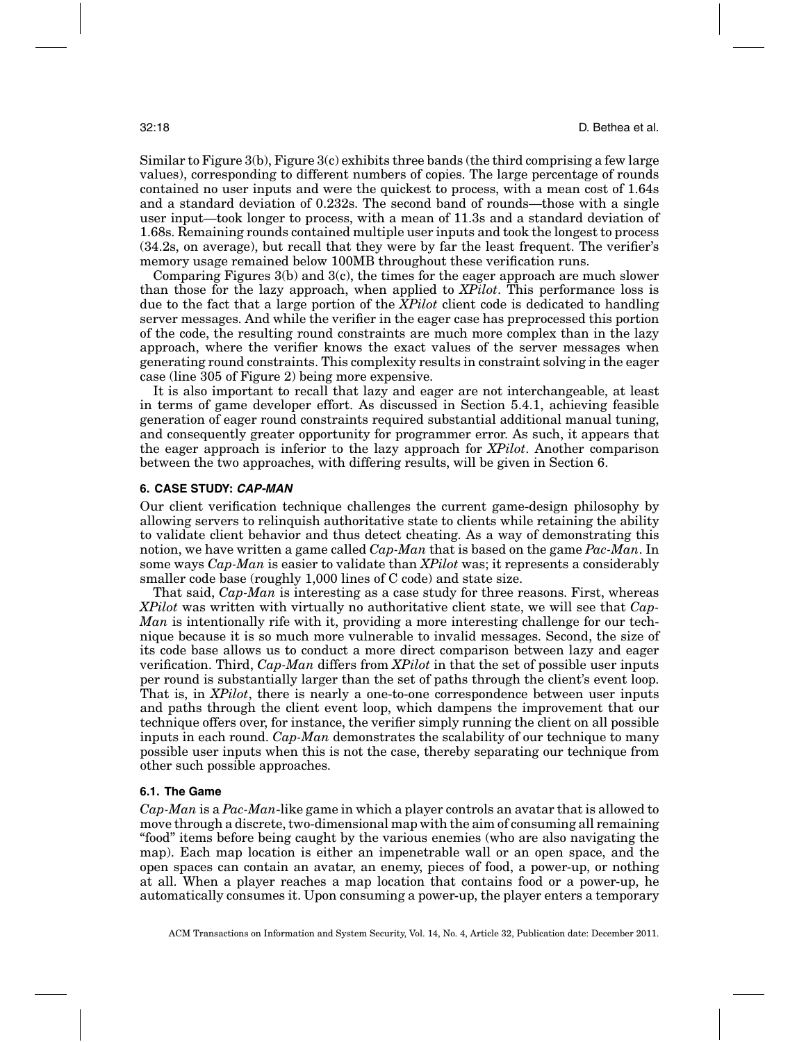32:18 D. Bethea et al.

Similar to Figure 3(b), Figure 3(c) exhibits three bands (the third comprising a few large values), corresponding to different numbers of copies. The large percentage of rounds contained no user inputs and were the quickest to process, with a mean cost of 1.64s and a standard deviation of 0.232s. The second band of rounds—those with a single user input—took longer to process, with a mean of 11.3s and a standard deviation of 1.68s. Remaining rounds contained multiple user inputs and took the longest to process (34.2s, on average), but recall that they were by far the least frequent. The verifier's memory usage remained below 100MB throughout these verification runs.

Comparing Figures 3(b) and 3(c), the times for the eager approach are much slower than those for the lazy approach, when applied to *XPilot*. This performance loss is due to the fact that a large portion of the *XPilot* client code is dedicated to handling server messages. And while the verifier in the eager case has preprocessed this portion of the code, the resulting round constraints are much more complex than in the lazy approach, where the verifier knows the exact values of the server messages when generating round constraints. This complexity results in constraint solving in the eager case (line 305 of Figure 2) being more expensive.

It is also important to recall that lazy and eager are not interchangeable, at least in terms of game developer effort. As discussed in Section 5.4.1, achieving feasible generation of eager round constraints required substantial additional manual tuning, and consequently greater opportunity for programmer error. As such, it appears that the eager approach is inferior to the lazy approach for *XPilot*. Another comparison between the two approaches, with differing results, will be given in Section 6.

# **6. CASE STUDY: CAP-MAN**

Our client verification technique challenges the current game-design philosophy by allowing servers to relinquish authoritative state to clients while retaining the ability to validate client behavior and thus detect cheating. As a way of demonstrating this notion, we have written a game called *Cap-Man* that is based on the game *Pac-Man*. In some ways *Cap-Man* is easier to validate than *XPilot* was; it represents a considerably smaller code base (roughly 1,000 lines of C code) and state size.

That said, *Cap-Man* is interesting as a case study for three reasons. First, whereas *XPilot* was written with virtually no authoritative client state, we will see that *Cap-Man* is intentionally rife with it, providing a more interesting challenge for our technique because it is so much more vulnerable to invalid messages. Second, the size of its code base allows us to conduct a more direct comparison between lazy and eager verification. Third, *Cap-Man* differs from *XPilot* in that the set of possible user inputs per round is substantially larger than the set of paths through the client's event loop. That is, in *XPilot*, there is nearly a one-to-one correspondence between user inputs and paths through the client event loop, which dampens the improvement that our technique offers over, for instance, the verifier simply running the client on all possible inputs in each round. *Cap-Man* demonstrates the scalability of our technique to many possible user inputs when this is not the case, thereby separating our technique from other such possible approaches.

## **6.1. The Game**

*Cap-Man* is a *Pac-Man*-like game in which a player controls an avatar that is allowed to move through a discrete, two-dimensional map with the aim of consuming all remaining "food" items before being caught by the various enemies (who are also navigating the map). Each map location is either an impenetrable wall or an open space, and the open spaces can contain an avatar, an enemy, pieces of food, a power-up, or nothing at all. When a player reaches a map location that contains food or a power-up, he automatically consumes it. Upon consuming a power-up, the player enters a temporary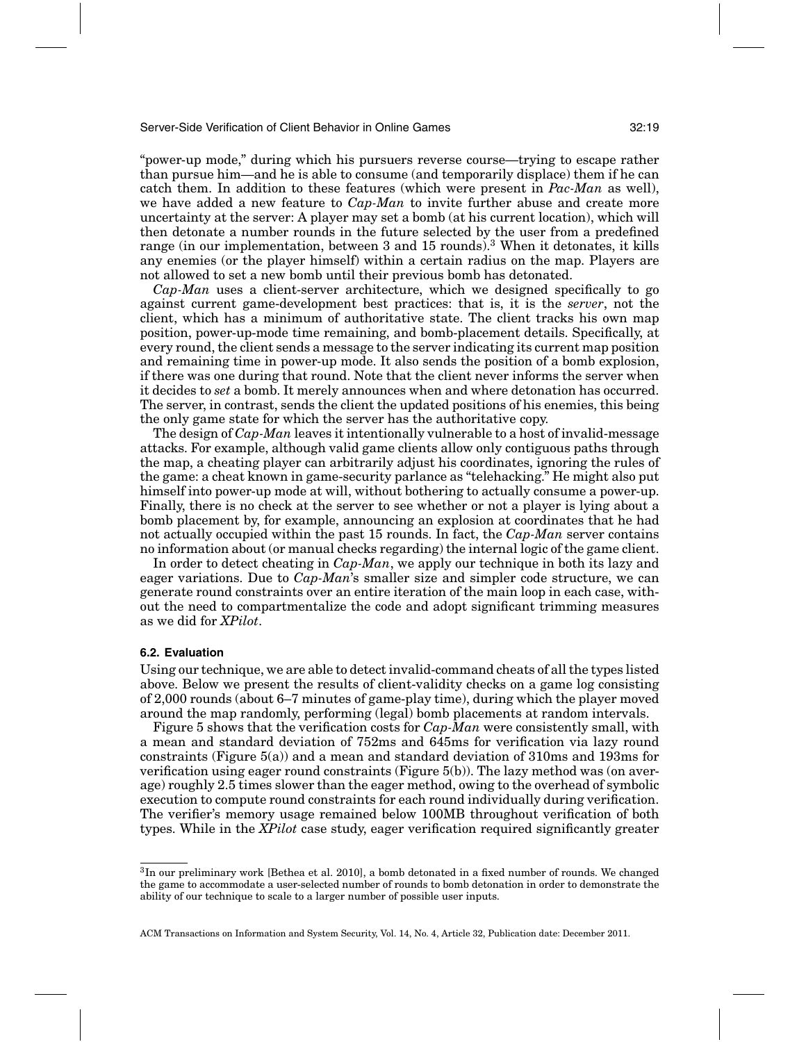"power-up mode," during which his pursuers reverse course—trying to escape rather than pursue him—and he is able to consume (and temporarily displace) them if he can catch them. In addition to these features (which were present in *Pac-Man* as well), we have added a new feature to *Cap-Man* to invite further abuse and create more uncertainty at the server: A player may set a bomb (at his current location), which will then detonate a number rounds in the future selected by the user from a predefined range (in our implementation, between 3 and 15 rounds).<sup>3</sup> When it detonates, it kills any enemies (or the player himself) within a certain radius on the map. Players are not allowed to set a new bomb until their previous bomb has detonated.

*Cap-Man* uses a client-server architecture, which we designed specifically to go against current game-development best practices: that is, it is the *server*, not the client, which has a minimum of authoritative state. The client tracks his own map position, power-up-mode time remaining, and bomb-placement details. Specifically, at every round, the client sends a message to the server indicating its current map position and remaining time in power-up mode. It also sends the position of a bomb explosion, if there was one during that round. Note that the client never informs the server when it decides to *set* a bomb. It merely announces when and where detonation has occurred. The server, in contrast, sends the client the updated positions of his enemies, this being the only game state for which the server has the authoritative copy.

The design of *Cap-Man* leaves it intentionally vulnerable to a host of invalid-message attacks. For example, although valid game clients allow only contiguous paths through the map, a cheating player can arbitrarily adjust his coordinates, ignoring the rules of the game: a cheat known in game-security parlance as "telehacking." He might also put himself into power-up mode at will, without bothering to actually consume a power-up. Finally, there is no check at the server to see whether or not a player is lying about a bomb placement by, for example, announcing an explosion at coordinates that he had not actually occupied within the past 15 rounds. In fact, the *Cap-Man* server contains no information about (or manual checks regarding) the internal logic of the game client.

In order to detect cheating in *Cap-Man*, we apply our technique in both its lazy and eager variations. Due to *Cap-Man*'s smaller size and simpler code structure, we can generate round constraints over an entire iteration of the main loop in each case, without the need to compartmentalize the code and adopt significant trimming measures as we did for *XPilot*.

## **6.2. Evaluation**

Using our technique, we are able to detect invalid-command cheats of all the types listed above. Below we present the results of client-validity checks on a game log consisting of 2,000 rounds (about 6–7 minutes of game-play time), during which the player moved around the map randomly, performing (legal) bomb placements at random intervals.

Figure 5 shows that the verification costs for *Cap-Man* were consistently small, with a mean and standard deviation of 752ms and 645ms for verification via lazy round constraints (Figure 5(a)) and a mean and standard deviation of 310ms and 193ms for verification using eager round constraints (Figure 5(b)). The lazy method was (on average) roughly 2.5 times slower than the eager method, owing to the overhead of symbolic execution to compute round constraints for each round individually during verification. The verifier's memory usage remained below 100MB throughout verification of both types. While in the *XPilot* case study, eager verification required significantly greater

<sup>3</sup>In our preliminary work [Bethea et al. 2010], a bomb detonated in a fixed number of rounds. We changed the game to accommodate a user-selected number of rounds to bomb detonation in order to demonstrate the ability of our technique to scale to a larger number of possible user inputs.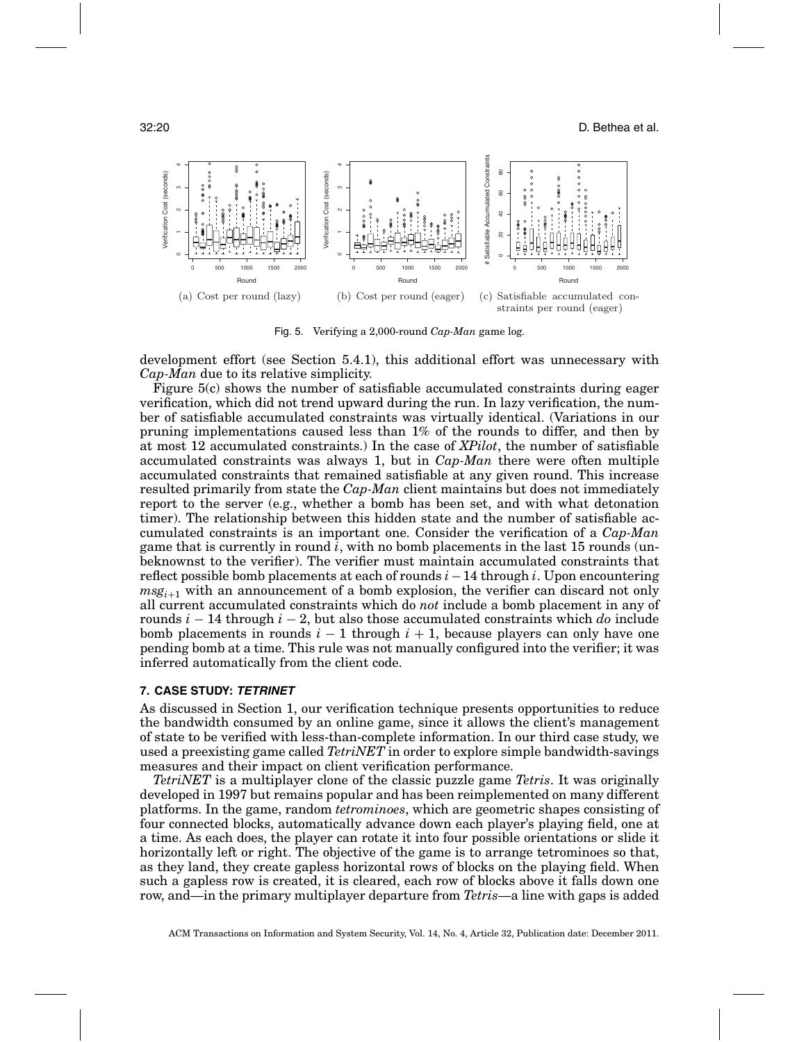32:20 D. Bethea et al.



Fig. 5. Verifying a 2,000-round *Cap-Man* game log.

development effort (see Section 5.4.1), this additional effort was unnecessary with *Cap-Man* due to its relative simplicity.

Figure 5(c) shows the number of satisfiable accumulated constraints during eager verification, which did not trend upward during the run. In lazy verification, the number of satisfiable accumulated constraints was virtually identical. (Variations in our pruning implementations caused less than 1% of the rounds to differ, and then by at most 12 accumulated constraints.) In the case of *XPilot*, the number of satisfiable accumulated constraints was always 1, but in *Cap-Man* there were often multiple accumulated constraints that remained satisfiable at any given round. This increase resulted primarily from state the *Cap-Man* client maintains but does not immediately report to the server (e.g., whether a bomb has been set, and with what detonation timer). The relationship between this hidden state and the number of satisfiable accumulated constraints is an important one. Consider the verification of a *Cap-Man* game that is currently in round *i*, with no bomb placements in the last 15 rounds (unbeknownst to the verifier). The verifier must maintain accumulated constraints that reflect possible bomb placements at each of rounds *i* −14 through *i*. Upon encountering  $msg_{i+1}$  with an announcement of a bomb explosion, the verifier can discard not only all current accumulated constraints which do *not* include a bomb placement in any of rounds *i* − 14 through *i* − 2, but also those accumulated constraints which *do* include bomb placements in rounds  $i - 1$  through  $i + 1$ , because players can only have one pending bomb at a time. This rule was not manually configured into the verifier; it was inferred automatically from the client code.

## **7. CASE STUDY: TETRINET**

As discussed in Section 1, our verification technique presents opportunities to reduce the bandwidth consumed by an online game, since it allows the client's management of state to be verified with less-than-complete information. In our third case study, we used a preexisting game called *TetriNET* in order to explore simple bandwidth-savings measures and their impact on client verification performance.

*TetriNET* is a multiplayer clone of the classic puzzle game *Tetris*. It was originally developed in 1997 but remains popular and has been reimplemented on many different platforms. In the game, random *tetrominoes*, which are geometric shapes consisting of four connected blocks, automatically advance down each player's playing field, one at a time. As each does, the player can rotate it into four possible orientations or slide it horizontally left or right. The objective of the game is to arrange tetrominoes so that, as they land, they create gapless horizontal rows of blocks on the playing field. When such a gapless row is created, it is cleared, each row of blocks above it falls down one row, and—in the primary multiplayer departure from *Tetris*—a line with gaps is added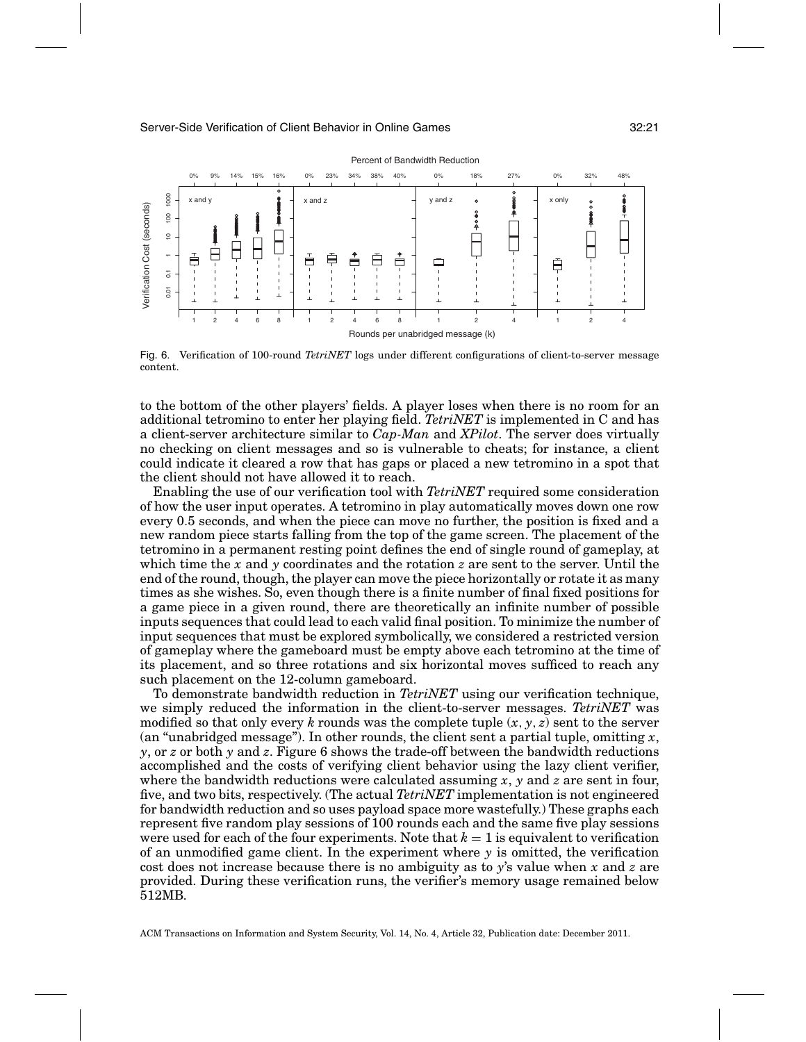

Fig. 6. Verification of 100-round *TetriNET* logs under different configurations of client-to-server message content.

to the bottom of the other players' fields. A player loses when there is no room for an additional tetromino to enter her playing field. *TetriNET* is implemented in C and has a client-server architecture similar to *Cap-Man* and *XPilot*. The server does virtually no checking on client messages and so is vulnerable to cheats; for instance, a client could indicate it cleared a row that has gaps or placed a new tetromino in a spot that the client should not have allowed it to reach.

Enabling the use of our verification tool with *TetriNET* required some consideration of how the user input operates. A tetromino in play automatically moves down one row every 0.5 seconds, and when the piece can move no further, the position is fixed and a new random piece starts falling from the top of the game screen. The placement of the tetromino in a permanent resting point defines the end of single round of gameplay, at which time the *x* and *y* coordinates and the rotation *z* are sent to the server. Until the end of the round, though, the player can move the piece horizontally or rotate it as many times as she wishes. So, even though there is a finite number of final fixed positions for a game piece in a given round, there are theoretically an infinite number of possible inputs sequences that could lead to each valid final position. To minimize the number of input sequences that must be explored symbolically, we considered a restricted version of gameplay where the gameboard must be empty above each tetromino at the time of its placement, and so three rotations and six horizontal moves sufficed to reach any such placement on the 12-column gameboard.

To demonstrate bandwidth reduction in *TetriNET* using our verification technique, we simply reduced the information in the client-to-server messages. *TetriNET* was modified so that only every  $k$  rounds was the complete tuple  $(x, y, z)$  sent to the server (an "unabridged message"). In other rounds, the client sent a partial tuple, omitting *x*, *y*, or *z* or both *y* and *z*. Figure 6 shows the trade-off between the bandwidth reductions accomplished and the costs of verifying client behavior using the lazy client verifier, where the bandwidth reductions were calculated assuming *x*, *y* and *z* are sent in four, five, and two bits, respectively. (The actual *TetriNET* implementation is not engineered for bandwidth reduction and so uses payload space more wastefully.) These graphs each represent five random play sessions of 100 rounds each and the same five play sessions were used for each of the four experiments. Note that  $k = 1$  is equivalent to verification of an unmodified game client. In the experiment where *y* is omitted, the verification cost does not increase because there is no ambiguity as to *y*'s value when *x* and *z* are provided. During these verification runs, the verifier's memory usage remained below 512MB.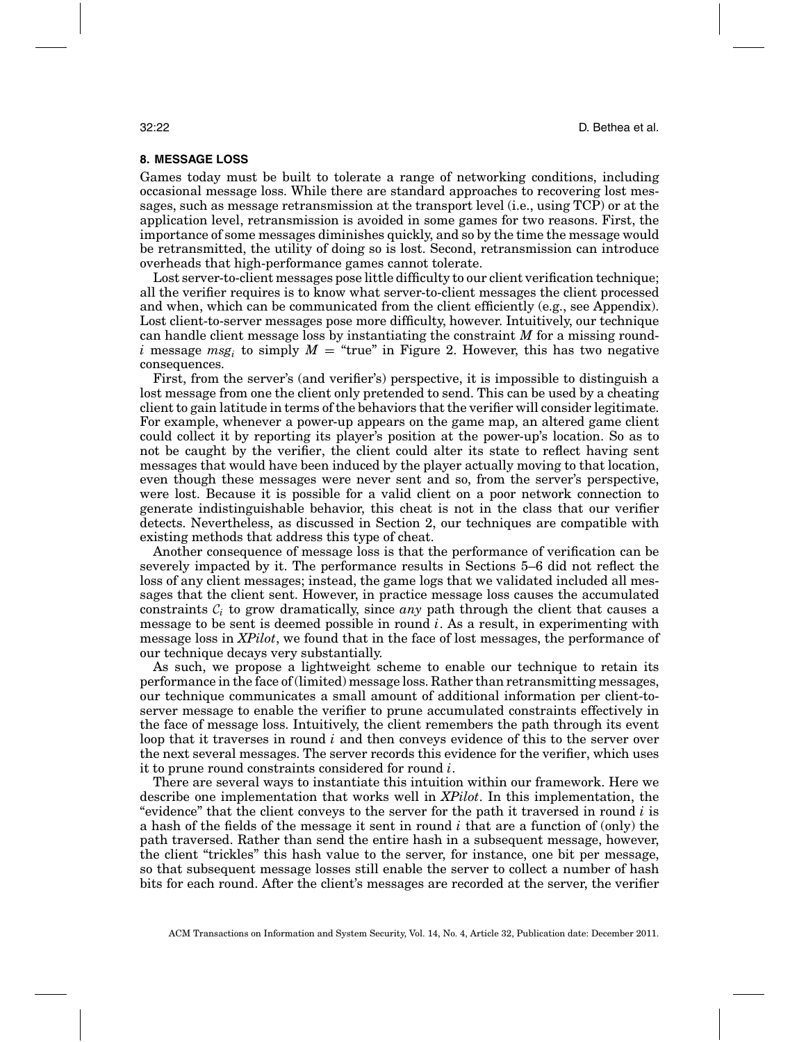# **8. MESSAGE LOSS**

Games today must be built to tolerate a range of networking conditions, including occasional message loss. While there are standard approaches to recovering lost messages, such as message retransmission at the transport level (i.e., using TCP) or at the application level, retransmission is avoided in some games for two reasons. First, the importance of some messages diminishes quickly, and so by the time the message would be retransmitted, the utility of doing so is lost. Second, retransmission can introduce overheads that high-performance games cannot tolerate.

Lost server-to-client messages pose little difficulty to our client verification technique; all the verifier requires is to know what server-to-client messages the client processed and when, which can be communicated from the client efficiently (e.g., see Appendix). Lost client-to-server messages pose more difficulty, however. Intuitively, our technique can handle client message loss by instantiating the constraint *M* for a missing round*i* message  $msg_i$  to simply  $M = "true"$  in Figure 2. However, this has two negative consequences.

First, from the server's (and verifier's) perspective, it is impossible to distinguish a lost message from one the client only pretended to send. This can be used by a cheating client to gain latitude in terms of the behaviors that the verifier will consider legitimate. For example, whenever a power-up appears on the game map, an altered game client could collect it by reporting its player's position at the power-up's location. So as to not be caught by the verifier, the client could alter its state to reflect having sent messages that would have been induced by the player actually moving to that location, even though these messages were never sent and so, from the server's perspective, were lost. Because it is possible for a valid client on a poor network connection to generate indistinguishable behavior, this cheat is not in the class that our verifier detects. Nevertheless, as discussed in Section 2, our techniques are compatible with existing methods that address this type of cheat.

Another consequence of message loss is that the performance of verification can be severely impacted by it. The performance results in Sections 5–6 did not reflect the loss of any client messages; instead, the game logs that we validated included all messages that the client sent. However, in practice message loss causes the accumulated constraints  $C_i$  to grow dramatically, since *any* path through the client that causes a message to be sent is deemed possible in round *i*. As a result, in experimenting with message loss in *XPilot*, we found that in the face of lost messages, the performance of our technique decays very substantially.

As such, we propose a lightweight scheme to enable our technique to retain its performance in the face of (limited) message loss. Rather than retransmitting messages, our technique communicates a small amount of additional information per client-toserver message to enable the verifier to prune accumulated constraints effectively in the face of message loss. Intuitively, the client remembers the path through its event loop that it traverses in round *i* and then conveys evidence of this to the server over the next several messages. The server records this evidence for the verifier, which uses it to prune round constraints considered for round *i*.

There are several ways to instantiate this intuition within our framework. Here we describe one implementation that works well in *XPilot*. In this implementation, the "evidence" that the client conveys to the server for the path it traversed in round *i* is a hash of the fields of the message it sent in round *i* that are a function of (only) the path traversed. Rather than send the entire hash in a subsequent message, however, the client "trickles" this hash value to the server, for instance, one bit per message, so that subsequent message losses still enable the server to collect a number of hash bits for each round. After the client's messages are recorded at the server, the verifier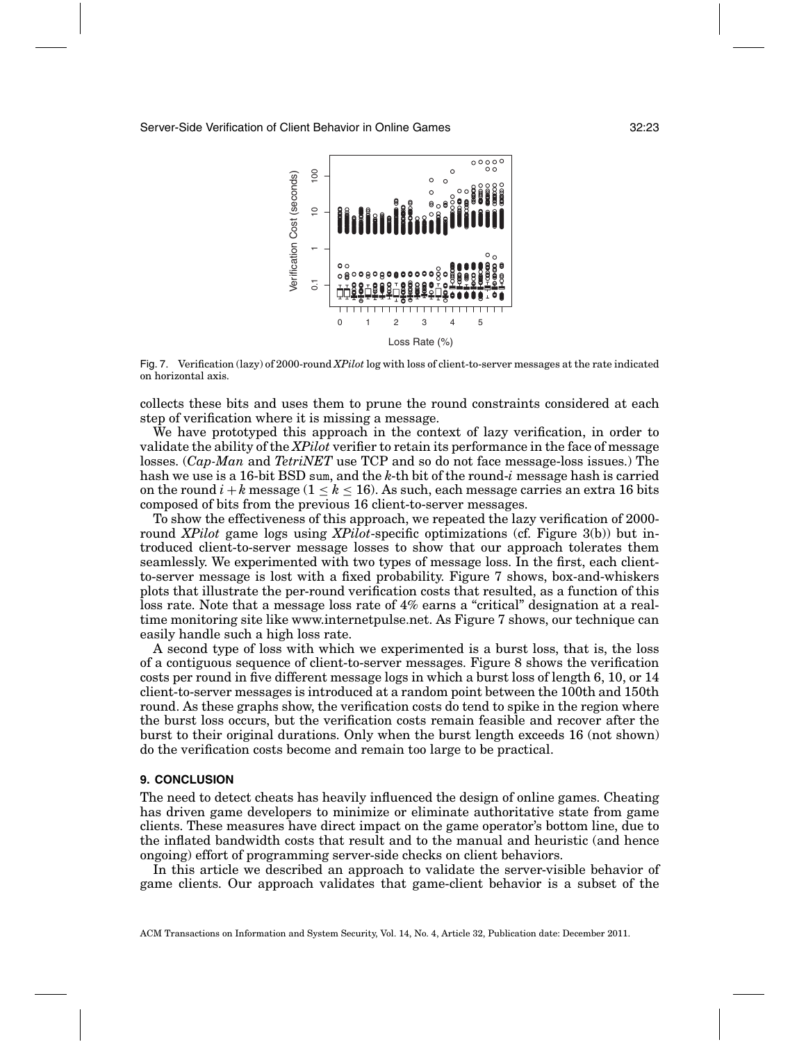

Fig. 7. Verification (lazy) of 2000-round *XPilot* log with loss of client-to-server messages at the rate indicated on horizontal axis.

collects these bits and uses them to prune the round constraints considered at each step of verification where it is missing a message.

We have prototyped this approach in the context of lazy verification, in order to validate the ability of the *XPilot* verifier to retain its performance in the face of message losses. (*Cap-Man* and *TetriNET* use TCP and so do not face message-loss issues.) The hash we use is a 16-bit BSD sum, and the *k*-th bit of the round-*i* message hash is carried on the round  $i + k$  message ( $1 \le k \le 16$ ). As such, each message carries an extra 16 bits composed of bits from the previous 16 client-to-server messages.

To show the effectiveness of this approach, we repeated the lazy verification of 2000 round *XPilot* game logs using *XPilot*-specific optimizations (cf. Figure 3(b)) but introduced client-to-server message losses to show that our approach tolerates them seamlessly. We experimented with two types of message loss. In the first, each clientto-server message is lost with a fixed probability. Figure 7 shows, box-and-whiskers plots that illustrate the per-round verification costs that resulted, as a function of this loss rate. Note that a message loss rate of 4% earns a "critical" designation at a realtime monitoring site like www.internetpulse.net. As Figure 7 shows, our technique can easily handle such a high loss rate.

A second type of loss with which we experimented is a burst loss, that is, the loss of a contiguous sequence of client-to-server messages. Figure 8 shows the verification costs per round in five different message logs in which a burst loss of length 6, 10, or 14 client-to-server messages is introduced at a random point between the 100th and 150th round. As these graphs show, the verification costs do tend to spike in the region where the burst loss occurs, but the verification costs remain feasible and recover after the burst to their original durations. Only when the burst length exceeds 16 (not shown) do the verification costs become and remain too large to be practical.

## **9. CONCLUSION**

The need to detect cheats has heavily influenced the design of online games. Cheating has driven game developers to minimize or eliminate authoritative state from game clients. These measures have direct impact on the game operator's bottom line, due to the inflated bandwidth costs that result and to the manual and heuristic (and hence ongoing) effort of programming server-side checks on client behaviors.

In this article we described an approach to validate the server-visible behavior of game clients. Our approach validates that game-client behavior is a subset of the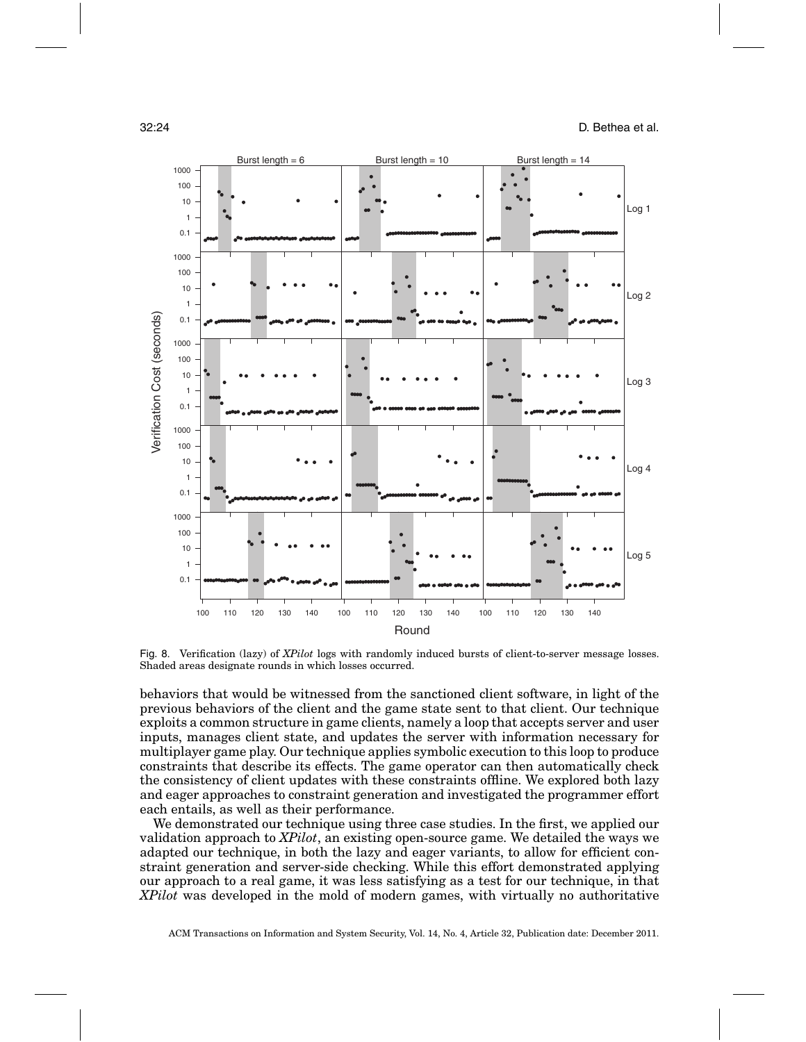32:24 D. Bethea et al.



Fig. 8. Verification (lazy) of *XPilot* logs with randomly induced bursts of client-to-server message losses. Shaded areas designate rounds in which losses occurred.

behaviors that would be witnessed from the sanctioned client software, in light of the previous behaviors of the client and the game state sent to that client. Our technique exploits a common structure in game clients, namely a loop that accepts server and user inputs, manages client state, and updates the server with information necessary for multiplayer game play. Our technique applies symbolic execution to this loop to produce constraints that describe its effects. The game operator can then automatically check the consistency of client updates with these constraints offline. We explored both lazy and eager approaches to constraint generation and investigated the programmer effort each entails, as well as their performance.

We demonstrated our technique using three case studies. In the first, we applied our validation approach to *XPilot*, an existing open-source game. We detailed the ways we adapted our technique, in both the lazy and eager variants, to allow for efficient constraint generation and server-side checking. While this effort demonstrated applying our approach to a real game, it was less satisfying as a test for our technique, in that *XPilot* was developed in the mold of modern games, with virtually no authoritative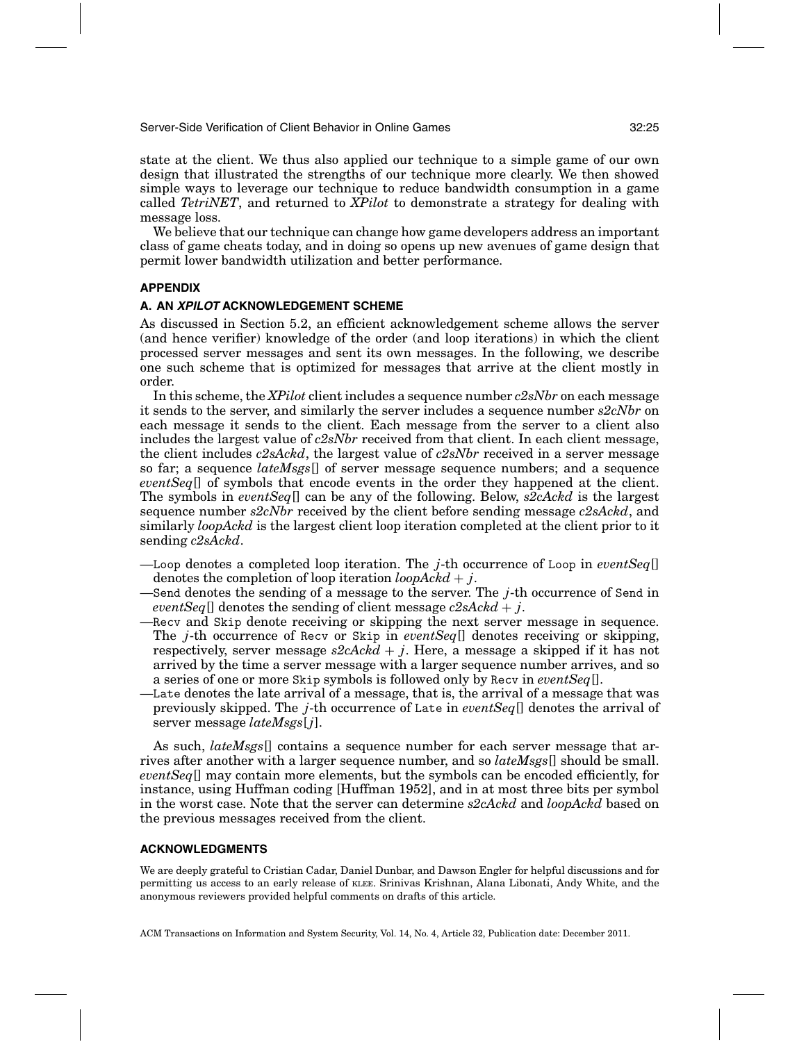state at the client. We thus also applied our technique to a simple game of our own design that illustrated the strengths of our technique more clearly. We then showed simple ways to leverage our technique to reduce bandwidth consumption in a game called *TetriNET*, and returned to *XPilot* to demonstrate a strategy for dealing with message loss.

We believe that our technique can change how game developers address an important class of game cheats today, and in doing so opens up new avenues of game design that permit lower bandwidth utilization and better performance.

# **APPENDIX**

# **A. AN XPILOT ACKNOWLEDGEMENT SCHEME**

As discussed in Section 5.2, an efficient acknowledgement scheme allows the server (and hence verifier) knowledge of the order (and loop iterations) in which the client processed server messages and sent its own messages. In the following, we describe one such scheme that is optimized for messages that arrive at the client mostly in order.

In this scheme, the *XPilot* client includes a sequence number *c2sNbr* on each message it sends to the server, and similarly the server includes a sequence number *s2cNbr* on each message it sends to the client. Each message from the server to a client also includes the largest value of *c2sNbr* received from that client. In each client message, the client includes *c2sAckd*, the largest value of *c2sNbr* received in a server message so far; a sequence *lateMsgs*[] of server message sequence numbers; and a sequence *eventSeq*[] of symbols that encode events in the order they happened at the client. The symbols in *eventSeq*[] can be any of the following. Below, *s2cAckd* is the largest sequence number *s2cNbr* received by the client before sending message *c2sAckd*, and similarly *loopAckd* is the largest client loop iteration completed at the client prior to it sending *c2sAckd*.

- —Loop denotes a completed loop iteration. The *j*-th occurrence of Loop in *eventSeq*[] denotes the completion of loop iteration *loopAckd* + *j*.
- —Send denotes the sending of a message to the server. The *j*-th occurrence of Send in *eventSeq*[] denotes the sending of client message  $c2sAckd + j$ .
- —Recv and Skip denote receiving or skipping the next server message in sequence. The *j*-th occurrence of Recv or Skip in *eventSeq*[] denotes receiving or skipping, respectively, server message *s2cAckd* + *j*. Here, a message a skipped if it has not arrived by the time a server message with a larger sequence number arrives, and so a series of one or more Skip symbols is followed only by Recv in *eventSeq*[].
- —Late denotes the late arrival of a message, that is, the arrival of a message that was previously skipped. The *j*-th occurrence of Late in *eventSeq*[] denotes the arrival of server message *lateMsgs*[*j*].

As such, *lateMsgs*[] contains a sequence number for each server message that arrives after another with a larger sequence number, and so *lateMsgs*[] should be small. *eventSeq*[] may contain more elements, but the symbols can be encoded efficiently, for instance, using Huffman coding [Huffman 1952], and in at most three bits per symbol in the worst case. Note that the server can determine *s2cAckd* and *loopAckd* based on the previous messages received from the client.

# **ACKNOWLEDGMENTS**

We are deeply grateful to Cristian Cadar, Daniel Dunbar, and Dawson Engler for helpful discussions and for permitting us access to an early release of KLEE. Srinivas Krishnan, Alana Libonati, Andy White, and the anonymous reviewers provided helpful comments on drafts of this article.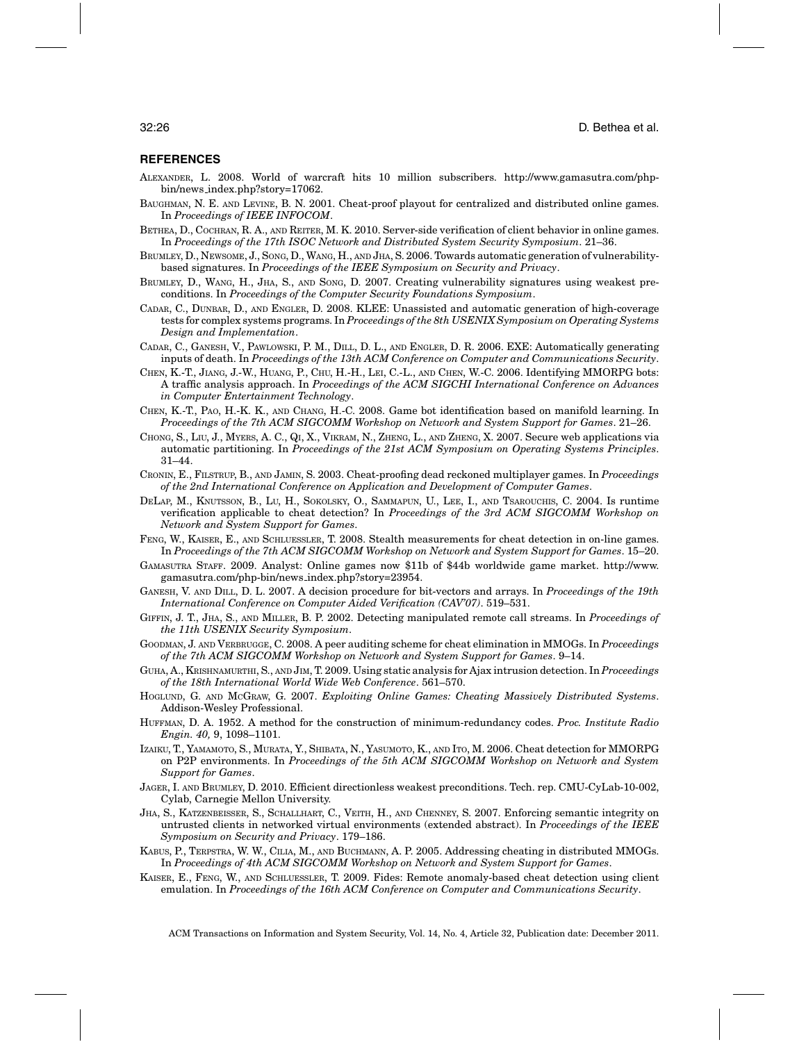# **REFERENCES**

- ALEXANDER, L. 2008. World of warcraft hits 10 million subscribers. http://www.gamasutra.com/phpbin/news index.php?story=17062.
- BAUGHMAN, N. E. AND LEVINE, B. N. 2001. Cheat-proof playout for centralized and distributed online games. In *Proceedings of IEEE INFOCOM*.
- BETHEA, D., COCHRAN, R. A., AND REITER, M. K. 2010. Server-side verification of client behavior in online games. In *Proceedings of the 17th ISOC Network and Distributed System Security Symposium*. 21–36.
- BRUMLEY, D., NEWSOME, J., SONG, D., WANG, H., AND JHA, S. 2006. Towards automatic generation of vulnerabilitybased signatures. In *Proceedings of the IEEE Symposium on Security and Privacy*.
- BRUMLEY, D., WANG, H., JHA, S., AND SONG, D. 2007. Creating vulnerability signatures using weakest preconditions. In *Proceedings of the Computer Security Foundations Symposium*.
- CADAR, C., DUNBAR, D., AND ENGLER, D. 2008. KLEE: Unassisted and automatic generation of high-coverage tests for complex systems programs. In *Proceedings of the 8th USENIX Symposium on Operating Systems Design and Implementation*.
- CADAR, C., GANESH, V., PAWLOWSKI, P. M., DILL, D. L., AND ENGLER, D. R. 2006. EXE: Automatically generating inputs of death. In *Proceedings of the 13th ACM Conference on Computer and Communications Security*.
- CHEN, K.-T., JIANG, J.-W., HUANG, P., CHU, H.-H., LEI, C.-L., AND CHEN, W.-C. 2006. Identifying MMORPG bots: A traffic analysis approach. In *Proceedings of the ACM SIGCHI International Conference on Advances in Computer Entertainment Technology*.
- CHEN, K.-T., PAO, H.-K. K., AND CHANG, H.-C. 2008. Game bot identification based on manifold learning. In *Proceedings of the 7th ACM SIGCOMM Workshop on Network and System Support for Games*. 21–26.
- CHONG, S., LIU, J., MYERS, A. C., QI, X., VIKRAM, N., ZHENG, L., AND ZHENG, X. 2007. Secure web applications via automatic partitioning. In *Proceedings of the 21st ACM Symposium on Operating Systems Principles*. 31–44.
- CRONIN, E., FILSTRUP, B., AND JAMIN, S. 2003. Cheat-proofing dead reckoned multiplayer games. In *Proceedings of the 2nd International Conference on Application and Development of Computer Games*.
- DELAP, M., KNUTSSON, B., LU, H., SOKOLSKY, O., SAMMAPUN, U., LEE, I., AND TSAROUCHIS, C. 2004. Is runtime verification applicable to cheat detection? In *Proceedings of the 3rd ACM SIGCOMM Workshop on Network and System Support for Games*.
- FENG, W., KAISER, E., AND SCHLUESSLER, T. 2008. Stealth measurements for cheat detection in on-line games. In *Proceedings of the 7th ACM SIGCOMM Workshop on Network and System Support for Games*. 15–20.
- GAMASUTRA STAFF. 2009. Analyst: Online games now \$11b of \$44b worldwide game market. http://www. gamasutra.com/php-bin/news index.php?story=23954.
- GANESH, V. AND DILL, D. L. 2007. A decision procedure for bit-vectors and arrays. In *Proceedings of the 19th International Conference on Computer Aided Verification (CAV'07)*. 519–531.
- GIFFIN, J. T., JHA, S., AND MILLER, B. P. 2002. Detecting manipulated remote call streams. In *Proceedings of the 11th USENIX Security Symposium*.
- GOODMAN, J. AND VERBRUGGE, C. 2008. A peer auditing scheme for cheat elimination in MMOGs. In *Proceedings of the 7th ACM SIGCOMM Workshop on Network and System Support for Games*. 9–14.
- GUHA, A., KRISHNAMURTHI, S., AND JIM, T. 2009. Using static analysis for Ajax intrusion detection. In *Proceedings of the 18th International World Wide Web Conference*. 561–570.
- HOGLUND, G. AND MCGRAW, G. 2007. *Exploiting Online Games: Cheating Massively Distributed Systems*. Addison-Wesley Professional.
- HUFFMAN, D. A. 1952. A method for the construction of minimum-redundancy codes. *Proc. Institute Radio Engin. 40,* 9, 1098–1101.
- IZAIKU, T., YAMAMOTO, S., MURATA, Y., SHIBATA, N., YASUMOTO, K., AND ITO, M. 2006. Cheat detection for MMORPG on P2P environments. In *Proceedings of the 5th ACM SIGCOMM Workshop on Network and System Support for Games*.
- JAGER, I. AND BRUMLEY, D. 2010. Efficient directionless weakest preconditions. Tech. rep. CMU-CyLab-10-002, Cylab, Carnegie Mellon University.
- JHA, S., KATZENBEISSER, S., SCHALLHART, C., VEITH, H., AND CHENNEY, S. 2007. Enforcing semantic integrity on untrusted clients in networked virtual environments (extended abstract). In *Proceedings of the IEEE Symposium on Security and Privacy*. 179–186.
- KABUS, P., TERPSTRA, W. W., CILIA, M., AND BUCHMANN, A. P. 2005. Addressing cheating in distributed MMOGs. In *Proceedings of 4th ACM SIGCOMM Workshop on Network and System Support for Games*.
- KAISER, E., FENG, W., AND SCHLUESSLER, T. 2009. Fides: Remote anomaly-based cheat detection using client emulation. In *Proceedings of the 16th ACM Conference on Computer and Communications Security*.